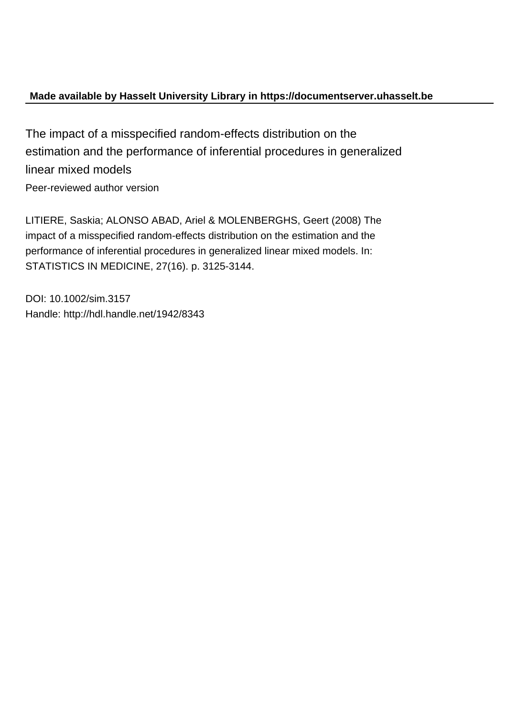### **Made available by Hasselt University Library in https://documentserver.uhasselt.be**

The impact of a misspecified random-effects distribution on the estimation and the performance of inferential procedures in generalized linear mixed models Peer-reviewed author version

LITIERE, Saskia; ALONSO ABAD, Ariel & MOLENBERGHS, Geert (2008) The impact of a misspecified random-effects distribution on the estimation and the performance of inferential procedures in generalized linear mixed models. In: STATISTICS IN MEDICINE, 27(16). p. 3125-3144.

DOI: 10.1002/sim.3157 Handle: http://hdl.handle.net/1942/8343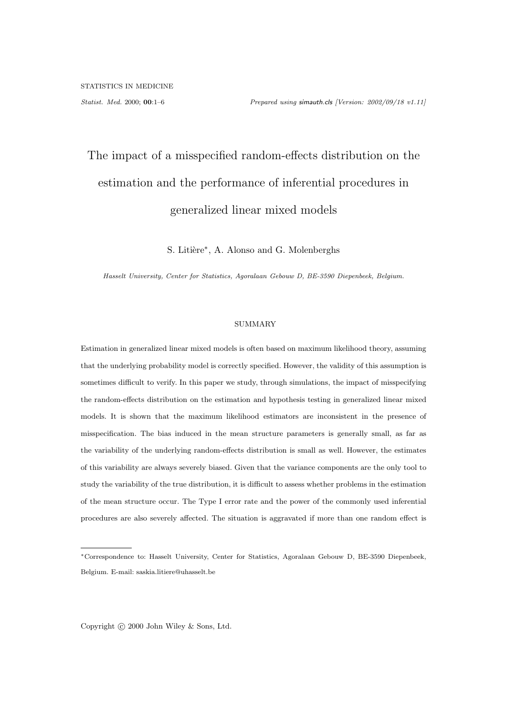# The impact of a misspecified random-effects distribution on the estimation and the performance of inferential procedures in generalized linear mixed models

S. Litière<sup>\*</sup>, A. Alonso and G. Molenberghs

Hasselt University, Center for Statistics, Agoralaan Gebouw D, BE-3590 Diepenbeek, Belgium.

#### SUMMARY

Estimation in generalized linear mixed models is often based on maximum likelihood theory, assuming that the underlying probability model is correctly specified. However, the validity of this assumption is sometimes difficult to verify. In this paper we study, through simulations, the impact of misspecifying the random-effects distribution on the estimation and hypothesis testing in generalized linear mixed models. It is shown that the maximum likelihood estimators are inconsistent in the presence of misspecification. The bias induced in the mean structure parameters is generally small, as far as the variability of the underlying random-effects distribution is small as well. However, the estimates of this variability are always severely biased. Given that the variance components are the only tool to study the variability of the true distribution, it is difficult to assess whether problems in the estimation of the mean structure occur. The Type I error rate and the power of the commonly used inferential procedures are also severely affected. The situation is aggravated if more than one random effect is

Copyright © 2000 John Wiley & Sons, Ltd.

<sup>∗</sup>Correspondence to: Hasselt University, Center for Statistics, Agoralaan Gebouw D, BE-3590 Diepenbeek, Belgium. E-mail: saskia.litiere@uhasselt.be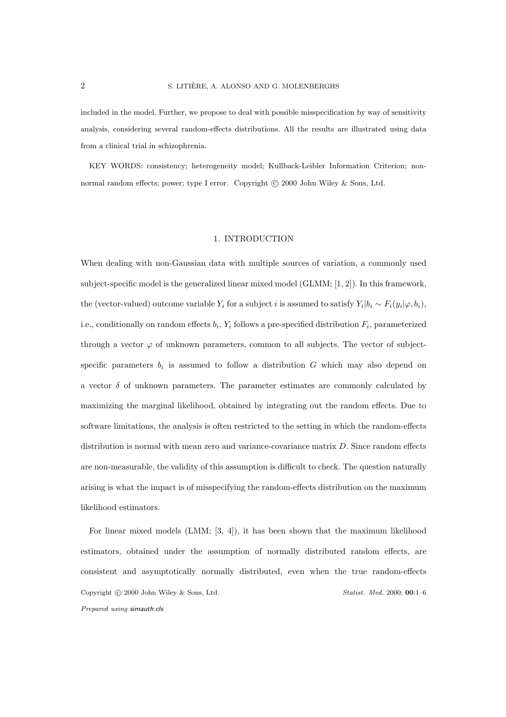included in the model. Further, we propose to deal with possible misspecification by way of sensitivity analysis, considering several random-effects distributions. All the results are illustrated using data from a clinical trial in schizophrenia.

KEY WORDS: consistency; heterogeneity model; Kullback-Leibler Information Criterion; nonnormal random effects; power; type I error. Copyright © 2000 John Wiley & Sons, Ltd.

#### 1. INTRODUCTION

When dealing with non-Gaussian data with multiple sources of variation, a commonly used subject-specific model is the generalized linear mixed model (GLMM; [1, 2]). In this framework, the (vector-valued) outcome variable  $Y_i$  for a subject i is assumed to satisfy  $Y_i|b_i \sim F_i(y_i|\varphi, b_i)$ , i.e., conditionally on random effects  $b_i$ ,  $Y_i$  follows a pre-specified distribution  $F_i$ , parameterized through a vector  $\varphi$  of unknown parameters, common to all subjects. The vector of subjectspecific parameters  $b_i$  is assumed to follow a distribution G which may also depend on a vector  $\delta$  of unknown parameters. The parameter estimates are commonly calculated by maximizing the marginal likelihood, obtained by integrating out the random effects. Due to software limitations, the analysis is often restricted to the setting in which the random-effects distribution is normal with mean zero and variance-covariance matrix D. Since random effects are non-measurable, the validity of this assumption is difficult to check. The question naturally arising is what the impact is of misspecifying the random-effects distribution on the maximum likelihood estimators.

For linear mixed models (LMM; [3, 4]), it has been shown that the maximum likelihood estimators, obtained under the assumption of normally distributed random effects, are consistent and asymptotically normally distributed, even when the true random-effects Copyright © 2000 John Wiley & Sons, Ltd. Statist. Med. 2000; 00:1–6 Prepared using simauth.cls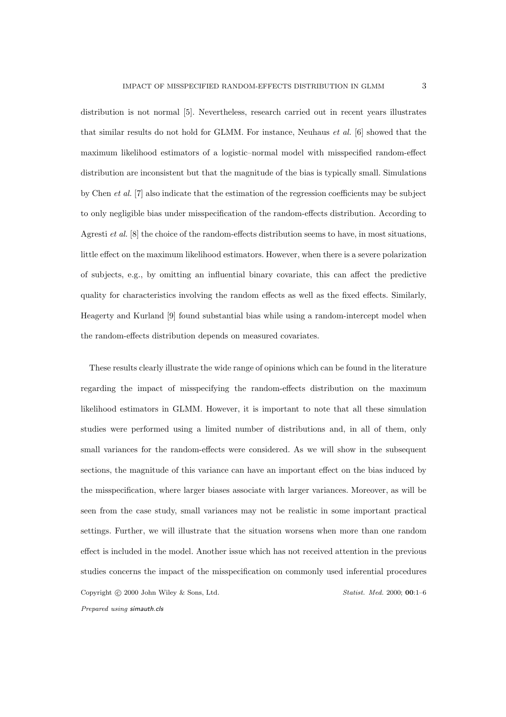distribution is not normal [5]. Nevertheless, research carried out in recent years illustrates that similar results do not hold for GLMM. For instance, Neuhaus et al. [6] showed that the maximum likelihood estimators of a logistic–normal model with misspecified random-effect distribution are inconsistent but that the magnitude of the bias is typically small. Simulations by Chen et al. [7] also indicate that the estimation of the regression coefficients may be subject to only negligible bias under misspecification of the random-effects distribution. According to Agresti *et al.* [8] the choice of the random-effects distribution seems to have, in most situations, little effect on the maximum likelihood estimators. However, when there is a severe polarization of subjects, e.g., by omitting an influential binary covariate, this can affect the predictive quality for characteristics involving the random effects as well as the fixed effects. Similarly, Heagerty and Kurland [9] found substantial bias while using a random-intercept model when the random-effects distribution depends on measured covariates.

These results clearly illustrate the wide range of opinions which can be found in the literature regarding the impact of misspecifying the random-effects distribution on the maximum likelihood estimators in GLMM. However, it is important to note that all these simulation studies were performed using a limited number of distributions and, in all of them, only small variances for the random-effects were considered. As we will show in the subsequent sections, the magnitude of this variance can have an important effect on the bias induced by the misspecification, where larger biases associate with larger variances. Moreover, as will be seen from the case study, small variances may not be realistic in some important practical settings. Further, we will illustrate that the situation worsens when more than one random effect is included in the model. Another issue which has not received attention in the previous studies concerns the impact of the misspecification on commonly used inferential procedures Copyright © 2000 John Wiley & Sons, Ltd. Statist. Med. 2000; 00:1-6 Prepared using simauth.cls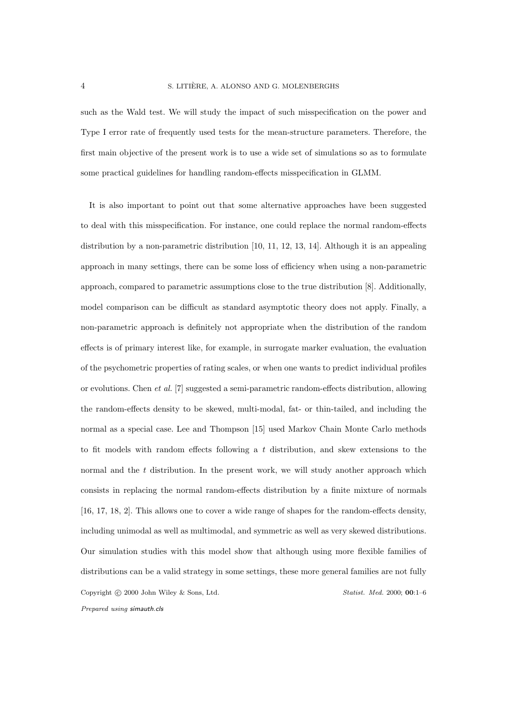such as the Wald test. We will study the impact of such misspecification on the power and Type I error rate of frequently used tests for the mean-structure parameters. Therefore, the first main objective of the present work is to use a wide set of simulations so as to formulate some practical guidelines for handling random-effects misspecification in GLMM.

It is also important to point out that some alternative approaches have been suggested to deal with this misspecification. For instance, one could replace the normal random-effects distribution by a non-parametric distribution [10, 11, 12, 13, 14]. Although it is an appealing approach in many settings, there can be some loss of efficiency when using a non-parametric approach, compared to parametric assumptions close to the true distribution [8]. Additionally, model comparison can be difficult as standard asymptotic theory does not apply. Finally, a non-parametric approach is definitely not appropriate when the distribution of the random effects is of primary interest like, for example, in surrogate marker evaluation, the evaluation of the psychometric properties of rating scales, or when one wants to predict individual profiles or evolutions. Chen et al. [7] suggested a semi-parametric random-effects distribution, allowing the random-effects density to be skewed, multi-modal, fat- or thin-tailed, and including the normal as a special case. Lee and Thompson [15] used Markov Chain Monte Carlo methods to fit models with random effects following a  $t$  distribution, and skew extensions to the normal and the  $t$  distribution. In the present work, we will study another approach which consists in replacing the normal random-effects distribution by a finite mixture of normals [16, 17, 18, 2]. This allows one to cover a wide range of shapes for the random-effects density, including unimodal as well as multimodal, and symmetric as well as very skewed distributions. Our simulation studies with this model show that although using more flexible families of distributions can be a valid strategy in some settings, these more general families are not fully Copyright © 2000 John Wiley & Sons, Ltd. Statist. Med. 2000; 00:1-6 Prepared using simauth.cls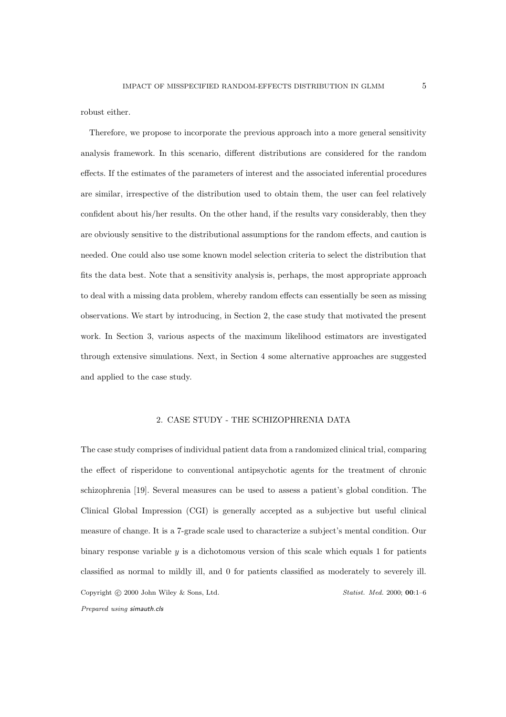robust either.

Therefore, we propose to incorporate the previous approach into a more general sensitivity analysis framework. In this scenario, different distributions are considered for the random effects. If the estimates of the parameters of interest and the associated inferential procedures are similar, irrespective of the distribution used to obtain them, the user can feel relatively confident about his/her results. On the other hand, if the results vary considerably, then they are obviously sensitive to the distributional assumptions for the random effects, and caution is needed. One could also use some known model selection criteria to select the distribution that fits the data best. Note that a sensitivity analysis is, perhaps, the most appropriate approach to deal with a missing data problem, whereby random effects can essentially be seen as missing observations. We start by introducing, in Section 2, the case study that motivated the present work. In Section 3, various aspects of the maximum likelihood estimators are investigated through extensive simulations. Next, in Section 4 some alternative approaches are suggested and applied to the case study.

### 2. CASE STUDY - THE SCHIZOPHRENIA DATA

The case study comprises of individual patient data from a randomized clinical trial, comparing the effect of risperidone to conventional antipsychotic agents for the treatment of chronic schizophrenia [19]. Several measures can be used to assess a patient's global condition. The Clinical Global Impression (CGI) is generally accepted as a subjective but useful clinical measure of change. It is a 7-grade scale used to characterize a subject's mental condition. Our binary response variable  $y$  is a dichotomous version of this scale which equals 1 for patients classified as normal to mildly ill, and 0 for patients classified as moderately to severely ill. Copyright © 2000 John Wiley & Sons, Ltd. Statist. Med. 2000; 00:1–6 Prepared using simauth.cls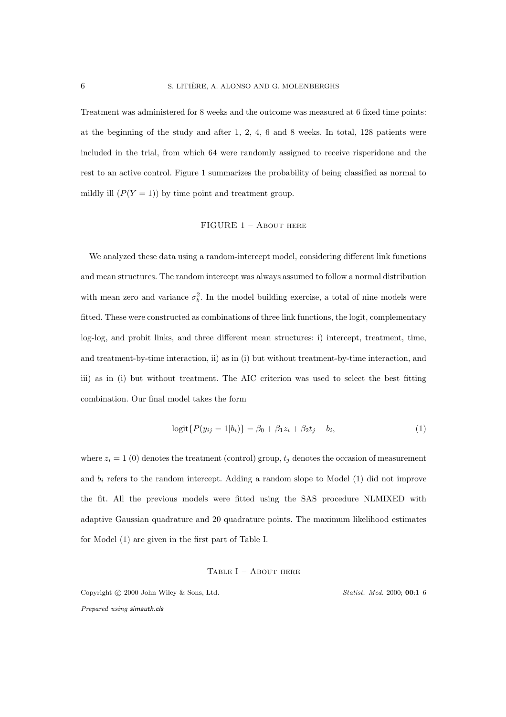Treatment was administered for 8 weeks and the outcome was measured at 6 fixed time points: at the beginning of the study and after 1, 2, 4, 6 and 8 weeks. In total, 128 patients were included in the trial, from which 64 were randomly assigned to receive risperidone and the rest to an active control. Figure 1 summarizes the probability of being classified as normal to mildly ill  $(P(Y = 1))$  by time point and treatment group.

#### FIGURE 1 – About here

We analyzed these data using a random-intercept model, considering different link functions and mean structures. The random intercept was always assumed to follow a normal distribution with mean zero and variance  $\sigma_b^2$ . In the model building exercise, a total of nine models were fitted. These were constructed as combinations of three link functions, the logit, complementary log-log, and probit links, and three different mean structures: i) intercept, treatment, time, and treatment-by-time interaction, ii) as in (i) but without treatment-by-time interaction, and iii) as in (i) but without treatment. The AIC criterion was used to select the best fitting combination. Our final model takes the form

$$
logit{{P(y_{ij} = 1|b_i)} = \beta_0 + \beta_1 z_i + \beta_2 t_j + b_i,
$$
\n(1)

where  $z_i = 1$  (0) denotes the treatment (control) group,  $t_j$  denotes the occasion of measurement and  $b_i$  refers to the random intercept. Adding a random slope to Model  $(1)$  did not improve the fit. All the previous models were fitted using the SAS procedure NLMIXED with adaptive Gaussian quadrature and 20 quadrature points. The maximum likelihood estimates for Model (1) are given in the first part of Table I.

#### TABLE  $I -$  About here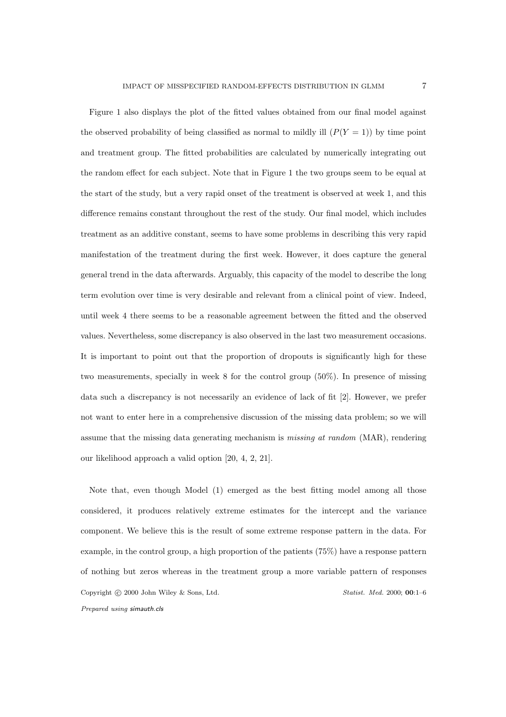Figure 1 also displays the plot of the fitted values obtained from our final model against the observed probability of being classified as normal to mildly ill  $(P(Y = 1))$  by time point and treatment group. The fitted probabilities are calculated by numerically integrating out the random effect for each subject. Note that in Figure 1 the two groups seem to be equal at the start of the study, but a very rapid onset of the treatment is observed at week 1, and this difference remains constant throughout the rest of the study. Our final model, which includes treatment as an additive constant, seems to have some problems in describing this very rapid manifestation of the treatment during the first week. However, it does capture the general general trend in the data afterwards. Arguably, this capacity of the model to describe the long term evolution over time is very desirable and relevant from a clinical point of view. Indeed, until week 4 there seems to be a reasonable agreement between the fitted and the observed values. Nevertheless, some discrepancy is also observed in the last two measurement occasions. It is important to point out that the proportion of dropouts is significantly high for these two measurements, specially in week 8 for the control group (50%). In presence of missing data such a discrepancy is not necessarily an evidence of lack of fit [2]. However, we prefer not want to enter here in a comprehensive discussion of the missing data problem; so we will assume that the missing data generating mechanism is *missing at random* (MAR), rendering our likelihood approach a valid option [20, 4, 2, 21].

Note that, even though Model (1) emerged as the best fitting model among all those considered, it produces relatively extreme estimates for the intercept and the variance component. We believe this is the result of some extreme response pattern in the data. For example, in the control group, a high proportion of the patients (75%) have a response pattern of nothing but zeros whereas in the treatment group a more variable pattern of responses Copyright © 2000 John Wiley & Sons, Ltd. Statist. Med. 2000; 00:1–6 Prepared using simauth.cls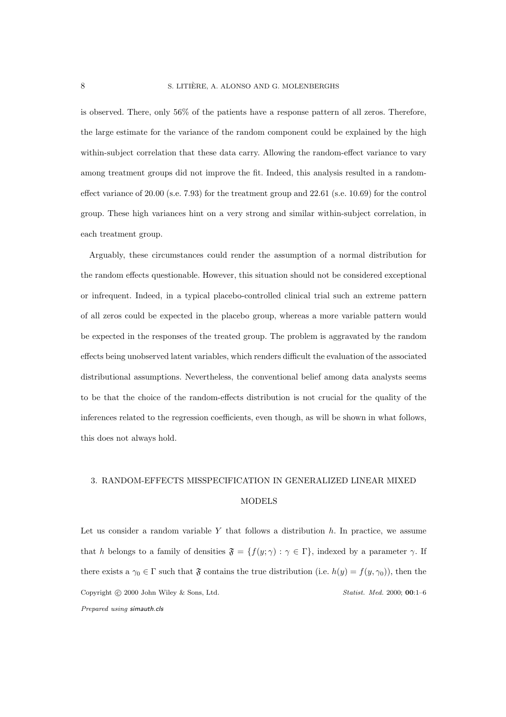is observed. There, only 56% of the patients have a response pattern of all zeros. Therefore, the large estimate for the variance of the random component could be explained by the high within-subject correlation that these data carry. Allowing the random-effect variance to vary among treatment groups did not improve the fit. Indeed, this analysis resulted in a randomeffect variance of 20.00 (s.e. 7.93) for the treatment group and 22.61 (s.e. 10.69) for the control group. These high variances hint on a very strong and similar within-subject correlation, in each treatment group.

Arguably, these circumstances could render the assumption of a normal distribution for the random effects questionable. However, this situation should not be considered exceptional or infrequent. Indeed, in a typical placebo-controlled clinical trial such an extreme pattern of all zeros could be expected in the placebo group, whereas a more variable pattern would be expected in the responses of the treated group. The problem is aggravated by the random effects being unobserved latent variables, which renders difficult the evaluation of the associated distributional assumptions. Nevertheless, the conventional belief among data analysts seems to be that the choice of the random-effects distribution is not crucial for the quality of the inferences related to the regression coefficients, even though, as will be shown in what follows, this does not always hold.

## 3. RANDOM-EFFECTS MISSPECIFICATION IN GENERALIZED LINEAR MIXED MODELS

Let us consider a random variable  $Y$  that follows a distribution  $h$ . In practice, we assume that h belongs to a family of densities  $\mathfrak{F} = \{f(y; \gamma) : \gamma \in \Gamma\}$ , indexed by a parameter  $\gamma$ . If there exists a  $\gamma_0 \in \Gamma$  such that  $\mathfrak F$  contains the true distribution (i.e.  $h(y) = f(y, \gamma_0)$ ), then the Copyright © 2000 John Wiley & Sons, Ltd. Statist. Med. 2000; 00:1–6 Prepared using simauth.cls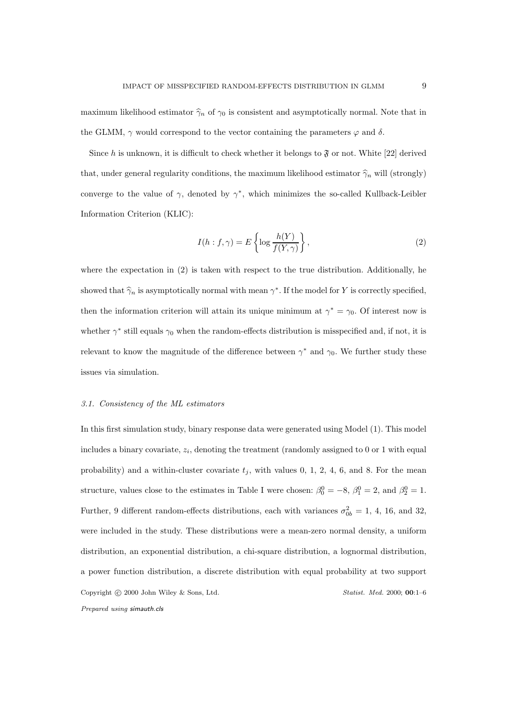maximum likelihood estimator  $\hat{\gamma}_n$  of  $\gamma_0$  is consistent and asymptotically normal. Note that in the GLMM,  $\gamma$  would correspond to the vector containing the parameters  $\varphi$  and  $\delta$ .

Since h is unknown, it is difficult to check whether it belongs to  $\mathfrak F$  or not. White [22] derived that, under general regularity conditions, the maximum likelihood estimator  $\hat{\gamma}_n$  will (strongly) converge to the value of  $\gamma$ , denoted by  $\gamma^*$ , which minimizes the so-called Kullback-Leibler Information Criterion (KLIC):

$$
I(h: f, \gamma) = E\left\{\log \frac{h(Y)}{f(Y, \gamma)}\right\},\tag{2}
$$

where the expectation in  $(2)$  is taken with respect to the true distribution. Additionally, he showed that  $\hat{\gamma}_n$  is asymptotically normal with mean  $\gamma^*$ . If the model for Y is correctly specified, then the information criterion will attain its unique minimum at  $\gamma^* = \gamma_0$ . Of interest now is whether  $\gamma^*$  still equals  $\gamma_0$  when the random-effects distribution is misspecified and, if not, it is relevant to know the magnitude of the difference between  $\gamma^*$  and  $\gamma_0$ . We further study these issues via simulation.

#### 3.1. Consistency of the ML estimators

In this first simulation study, binary response data were generated using Model (1). This model includes a binary covariate,  $z_i$ , denoting the treatment (randomly assigned to 0 or 1 with equal probability) and a within-cluster covariate  $t_i$ , with values 0, 1, 2, 4, 6, and 8. For the mean structure, values close to the estimates in Table I were chosen:  $\beta_0^0 = -8$ ,  $\beta_1^0 = 2$ , and  $\beta_2^0 = 1$ . Further, 9 different random-effects distributions, each with variances  $\sigma_{0b}^2 = 1$ , 4, 16, and 32, were included in the study. These distributions were a mean-zero normal density, a uniform distribution, an exponential distribution, a chi-square distribution, a lognormal distribution, a power function distribution, a discrete distribution with equal probability at two support Copyright © 2000 John Wiley & Sons, Ltd. Statist. Med. 2000; 00:1–6 Prepared using simauth.cls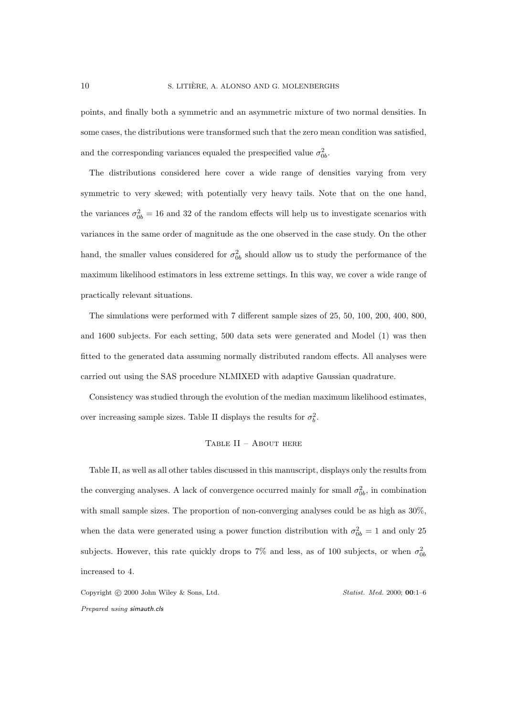points, and finally both a symmetric and an asymmetric mixture of two normal densities. In some cases, the distributions were transformed such that the zero mean condition was satisfied, and the corresponding variances equaled the prespecified value  $\sigma_{0b}^2$ .

The distributions considered here cover a wide range of densities varying from very symmetric to very skewed; with potentially very heavy tails. Note that on the one hand, the variances  $\sigma_{0b}^2 = 16$  and 32 of the random effects will help us to investigate scenarios with variances in the same order of magnitude as the one observed in the case study. On the other hand, the smaller values considered for  $\sigma_{0b}^2$  should allow us to study the performance of the maximum likelihood estimators in less extreme settings. In this way, we cover a wide range of practically relevant situations.

The simulations were performed with 7 different sample sizes of 25, 50, 100, 200, 400, 800, and 1600 subjects. For each setting, 500 data sets were generated and Model (1) was then fitted to the generated data assuming normally distributed random effects. All analyses were carried out using the SAS procedure NLMIXED with adaptive Gaussian quadrature.

Consistency was studied through the evolution of the median maximum likelihood estimates, over increasing sample sizes. Table II displays the results for  $\sigma_b^2$ .

#### Table II – About here

Table II, as well as all other tables discussed in this manuscript, displays only the results from the converging analyses. A lack of convergence occurred mainly for small  $\sigma_{0b}^2$ , in combination with small sample sizes. The proportion of non-converging analyses could be as high as 30%, when the data were generated using a power function distribution with  $\sigma_{0b}^2 = 1$  and only 25 subjects. However, this rate quickly drops to 7% and less, as of 100 subjects, or when  $\sigma_{0b}^2$ increased to 4.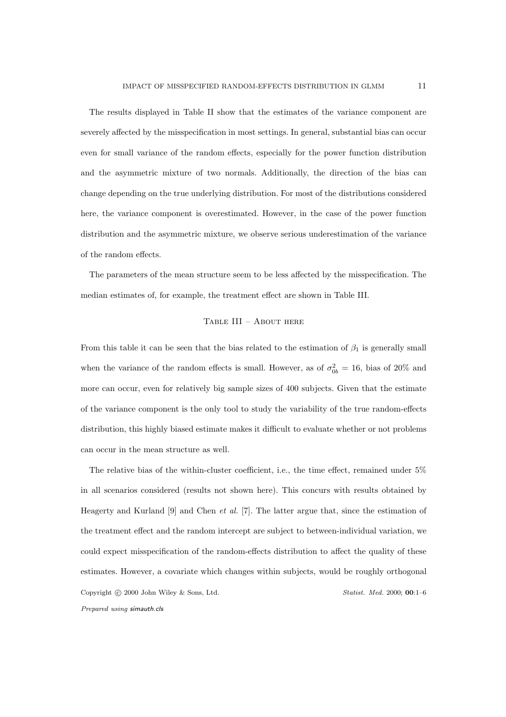The results displayed in Table II show that the estimates of the variance component are severely affected by the misspecification in most settings. In general, substantial bias can occur even for small variance of the random effects, especially for the power function distribution and the asymmetric mixture of two normals. Additionally, the direction of the bias can change depending on the true underlying distribution. For most of the distributions considered here, the variance component is overestimated. However, in the case of the power function distribution and the asymmetric mixture, we observe serious underestimation of the variance of the random effects.

The parameters of the mean structure seem to be less affected by the misspecification. The median estimates of, for example, the treatment effect are shown in Table III.

#### Table III – About here

From this table it can be seen that the bias related to the estimation of  $\beta_1$  is generally small when the variance of the random effects is small. However, as of  $\sigma_{0b}^2 = 16$ , bias of 20% and more can occur, even for relatively big sample sizes of 400 subjects. Given that the estimate of the variance component is the only tool to study the variability of the true random-effects distribution, this highly biased estimate makes it difficult to evaluate whether or not problems can occur in the mean structure as well.

The relative bias of the within-cluster coefficient, i.e., the time effect, remained under 5% in all scenarios considered (results not shown here). This concurs with results obtained by Heagerty and Kurland  $[9]$  and Chen *et al.* [7]. The latter argue that, since the estimation of the treatment effect and the random intercept are subject to between-individual variation, we could expect misspecification of the random-effects distribution to affect the quality of these estimates. However, a covariate which changes within subjects, would be roughly orthogonal Copyright © 2000 John Wiley & Sons, Ltd. Statist. Med. 2000; 00:1-6 Prepared using simauth.cls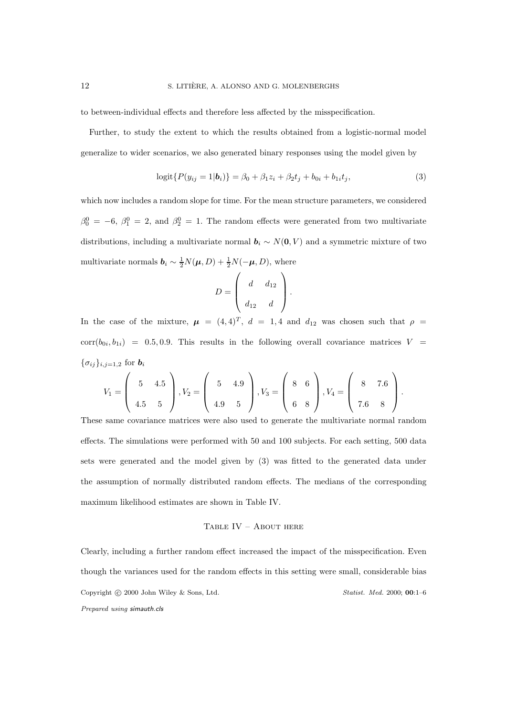to between-individual effects and therefore less affected by the misspecification.

Further, to study the extent to which the results obtained from a logistic-normal model generalize to wider scenarios, we also generated binary responses using the model given by

$$
logit{{P(y_{ij} = 1|b_i)} = \beta_0 + \beta_1 z_i + \beta_2 t_j + b_{0i} + b_{1i} t_j,
$$
\n(3)

which now includes a random slope for time. For the mean structure parameters, we considered  $\beta_0^0 = -6$ ,  $\beta_1^0 = 2$ , and  $\beta_2^0 = 1$ . The random effects were generated from two multivariate distributions, including a multivariate normal  $\mathbf{b}_i \sim N(\mathbf{0}, V)$  and a symmetric mixture of two multivariate normals  $\mathbf{b}_i \sim \frac{1}{2}N(\mathbf{\mu}, D) + \frac{1}{2}N(-\mathbf{\mu}, D)$ , where

$$
D = \left( \begin{array}{cc} d & d_{12} \\ d_{12} & d \end{array} \right).
$$

In the case of the mixture,  $\mu = (4, 4)^T$ ,  $d = 1, 4$  and  $d_{12}$  was chosen such that  $\rho =$  $corr(b_{0i}, b_{1i}) = 0.5, 0.9$ . This results in the following overall covariance matrices  $V =$  $\{\sigma_{ij}\}_{i,j=1,2}$  for  $\bm{b}_i$ 

$$
V_1 = \left(\begin{array}{cc} 5 & 4.5 \\ 4.5 & 5 \end{array}\right), V_2 = \left(\begin{array}{cc} 5 & 4.9 \\ 4.9 & 5 \end{array}\right), V_3 = \left(\begin{array}{cc} 8 & 6 \\ 6 & 8 \end{array}\right), V_4 = \left(\begin{array}{cc} 8 & 7.6 \\ 7.6 & 8 \end{array}\right).
$$

These same covariance matrices were also used to generate the multivariate normal random effects. The simulations were performed with 50 and 100 subjects. For each setting, 500 data sets were generated and the model given by (3) was fitted to the generated data under the assumption of normally distributed random effects. The medians of the corresponding maximum likelihood estimates are shown in Table IV.

#### Table IV – About here

Clearly, including a further random effect increased the impact of the misspecification. Even though the variances used for the random effects in this setting were small, considerable bias Copyright © 2000 John Wiley & Sons, Ltd. Statist. Med. 2000; 00:1–6 Prepared using simauth.cls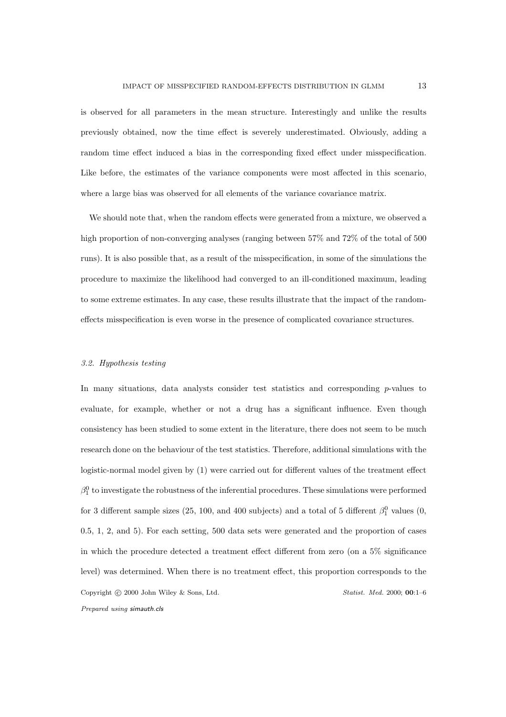is observed for all parameters in the mean structure. Interestingly and unlike the results previously obtained, now the time effect is severely underestimated. Obviously, adding a random time effect induced a bias in the corresponding fixed effect under misspecification. Like before, the estimates of the variance components were most affected in this scenario, where a large bias was observed for all elements of the variance covariance matrix.

We should note that, when the random effects were generated from a mixture, we observed a high proportion of non-converging analyses (ranging between 57% and 72% of the total of 500 runs). It is also possible that, as a result of the misspecification, in some of the simulations the procedure to maximize the likelihood had converged to an ill-conditioned maximum, leading to some extreme estimates. In any case, these results illustrate that the impact of the randomeffects misspecification is even worse in the presence of complicated covariance structures.

#### 3.2. Hypothesis testing

In many situations, data analysts consider test statistics and corresponding  $p$ -values to evaluate, for example, whether or not a drug has a significant influence. Even though consistency has been studied to some extent in the literature, there does not seem to be much research done on the behaviour of the test statistics. Therefore, additional simulations with the logistic-normal model given by (1) were carried out for different values of the treatment effect  $\beta_1^0$  to investigate the robustness of the inferential procedures. These simulations were performed for 3 different sample sizes (25, 100, and 400 subjects) and a total of 5 different  $\beta_1^0$  values (0, 0.5, 1, 2, and 5). For each setting, 500 data sets were generated and the proportion of cases in which the procedure detected a treatment effect different from zero (on a 5% significance level) was determined. When there is no treatment effect, this proportion corresponds to the Copyright © 2000 John Wiley & Sons, Ltd. Statist. Med. 2000; 00:1–6 Prepared using simauth.cls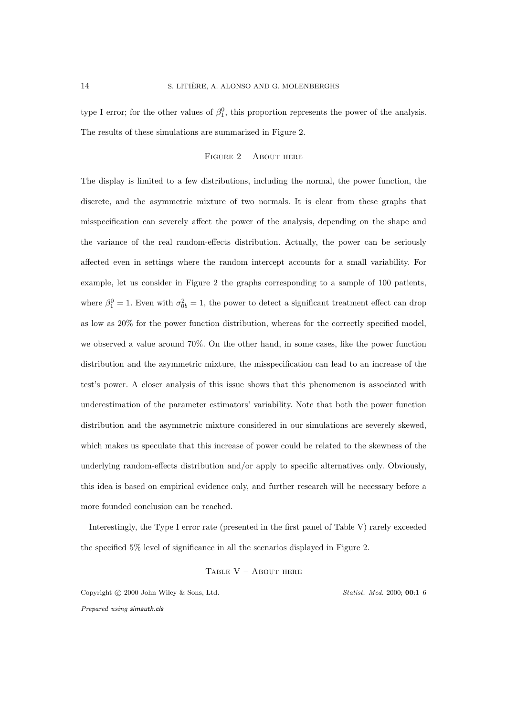type I error; for the other values of  $\beta_1^0$ , this proportion represents the power of the analysis. The results of these simulations are summarized in Figure 2.

#### Figure 2 – About here

The display is limited to a few distributions, including the normal, the power function, the discrete, and the asymmetric mixture of two normals. It is clear from these graphs that misspecification can severely affect the power of the analysis, depending on the shape and the variance of the real random-effects distribution. Actually, the power can be seriously affected even in settings where the random intercept accounts for a small variability. For example, let us consider in Figure 2 the graphs corresponding to a sample of 100 patients, where  $\beta_1^0 = 1$ . Even with  $\sigma_{0b}^2 = 1$ , the power to detect a significant treatment effect can drop as low as 20% for the power function distribution, whereas for the correctly specified model, we observed a value around 70%. On the other hand, in some cases, like the power function distribution and the asymmetric mixture, the misspecification can lead to an increase of the test's power. A closer analysis of this issue shows that this phenomenon is associated with underestimation of the parameter estimators' variability. Note that both the power function distribution and the asymmetric mixture considered in our simulations are severely skewed, which makes us speculate that this increase of power could be related to the skewness of the underlying random-effects distribution and/or apply to specific alternatives only. Obviously, this idea is based on empirical evidence only, and further research will be necessary before a more founded conclusion can be reached.

Interestingly, the Type I error rate (presented in the first panel of Table V) rarely exceeded the specified 5% level of significance in all the scenarios displayed in Figure 2.

#### Table V – About here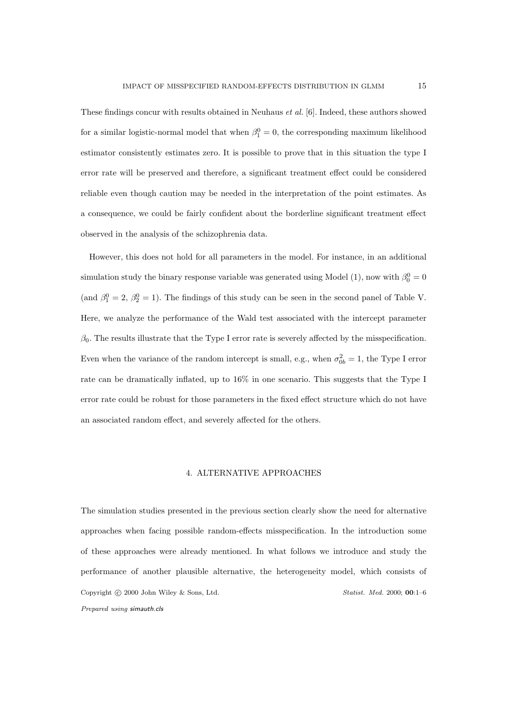These findings concur with results obtained in Neuhaus et al. [6]. Indeed, these authors showed for a similar logistic-normal model that when  $\beta_1^0 = 0$ , the corresponding maximum likelihood estimator consistently estimates zero. It is possible to prove that in this situation the type I error rate will be preserved and therefore, a significant treatment effect could be considered reliable even though caution may be needed in the interpretation of the point estimates. As a consequence, we could be fairly confident about the borderline significant treatment effect observed in the analysis of the schizophrenia data.

However, this does not hold for all parameters in the model. For instance, in an additional simulation study the binary response variable was generated using Model (1), now with  $\beta_0^0 = 0$ (and  $\beta_1^0 = 2$ ,  $\beta_2^0 = 1$ ). The findings of this study can be seen in the second panel of Table V. Here, we analyze the performance of the Wald test associated with the intercept parameter  $\beta_0$ . The results illustrate that the Type I error rate is severely affected by the misspecification. Even when the variance of the random intercept is small, e.g., when  $\sigma_{0b}^2 = 1$ , the Type I error rate can be dramatically inflated, up to 16% in one scenario. This suggests that the Type I error rate could be robust for those parameters in the fixed effect structure which do not have an associated random effect, and severely affected for the others.

#### 4. ALTERNATIVE APPROACHES

The simulation studies presented in the previous section clearly show the need for alternative approaches when facing possible random-effects misspecification. In the introduction some of these approaches were already mentioned. In what follows we introduce and study the performance of another plausible alternative, the heterogeneity model, which consists of Copyright © 2000 John Wiley & Sons, Ltd. Statist. Med. 2000; 00:1–6 Prepared using simauth.cls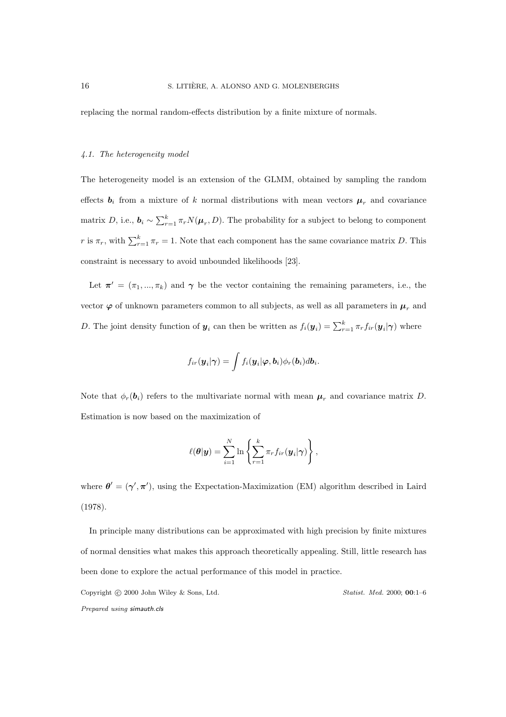replacing the normal random-effects distribution by a finite mixture of normals.

### 4.1. The heterogeneity model

The heterogeneity model is an extension of the GLMM, obtained by sampling the random effects  $b_i$  from a mixture of k normal distributions with mean vectors  $\mu_r$  and covariance matrix D, i.e.,  $b_i \sim \sum_{r=1}^k \pi_r N(\mu_r, D)$ . The probability for a subject to belong to component r is  $\pi_r$ , with  $\sum_{r=1}^k \pi_r = 1$ . Note that each component has the same covariance matrix D. This constraint is necessary to avoid unbounded likelihoods [23].

Let  $\pi' = (\pi_1, ..., \pi_k)$  and  $\gamma$  be the vector containing the remaining parameters, i.e., the vector  $\varphi$  of unknown parameters common to all subjects, as well as all parameters in  $\mu_r$  and D. The joint density function of  $y_i$  can then be written as  $f_i(y_i) = \sum_{r=1}^k \pi_r f_{ir}(y_i|\gamma)$  where

$$
f_{ir}(\boldsymbol{y}_i|\boldsymbol{\gamma}) = \int f_i(\boldsymbol{y}_i|\boldsymbol{\varphi},\boldsymbol{b}_i)\phi_r(\boldsymbol{b}_i)d\boldsymbol{b}_i.
$$

Note that  $\phi_r(\mathbf{b}_i)$  refers to the multivariate normal with mean  $\mu_r$  and covariance matrix D. Estimation is now based on the maximization of

$$
\ell(\boldsymbol{\theta}|\boldsymbol{y}) = \sum_{i=1}^N \ln \left\{ \sum_{r=1}^k \pi_r f_{ir}(\boldsymbol{y}_i|\boldsymbol{\gamma}) \right\},\,
$$

where  $\theta' = (\gamma', \pi')$ , using the Expectation-Maximization (EM) algorithm described in Laird (1978).

In principle many distributions can be approximated with high precision by finite mixtures of normal densities what makes this approach theoretically appealing. Still, little research has been done to explore the actual performance of this model in practice.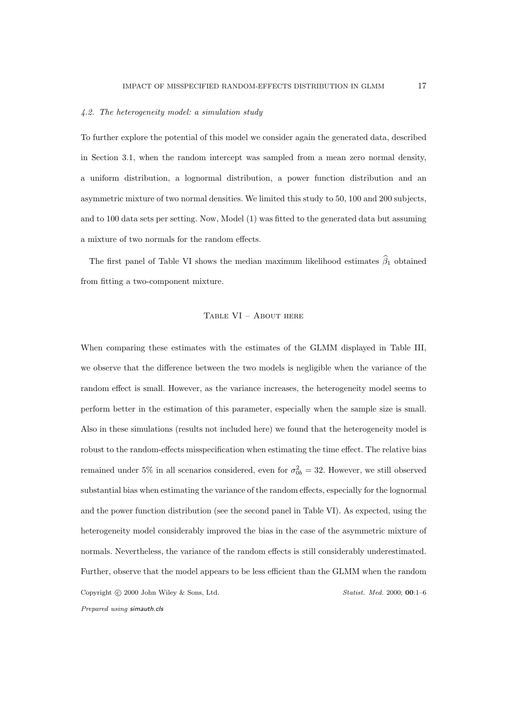#### 4.2. The heterogeneity model: a simulation study

To further explore the potential of this model we consider again the generated data, described in Section 3.1, when the random intercept was sampled from a mean zero normal density, a uniform distribution, a lognormal distribution, a power function distribution and an asymmetric mixture of two normal densities. We limited this study to 50, 100 and 200 subjects, and to 100 data sets per setting. Now, Model (1) was fitted to the generated data but assuming a mixture of two normals for the random effects.

The first panel of Table VI shows the median maximum likelihood estimates  $\hat{\beta}_1$  obtained from fitting a two-component mixture.

#### Table VI – About here

When comparing these estimates with the estimates of the GLMM displayed in Table III, we observe that the difference between the two models is negligible when the variance of the random effect is small. However, as the variance increases, the heterogeneity model seems to perform better in the estimation of this parameter, especially when the sample size is small. Also in these simulations (results not included here) we found that the heterogeneity model is robust to the random-effects misspecification when estimating the time effect. The relative bias remained under 5% in all scenarios considered, even for  $\sigma_{0b}^2 = 32$ . However, we still observed substantial bias when estimating the variance of the random effects, especially for the lognormal and the power function distribution (see the second panel in Table VI). As expected, using the heterogeneity model considerably improved the bias in the case of the asymmetric mixture of normals. Nevertheless, the variance of the random effects is still considerably underestimated. Further, observe that the model appears to be less efficient than the GLMM when the random Copyright © 2000 John Wiley & Sons, Ltd. Statist. Med. 2000; 00:1–6 Prepared using simauth.cls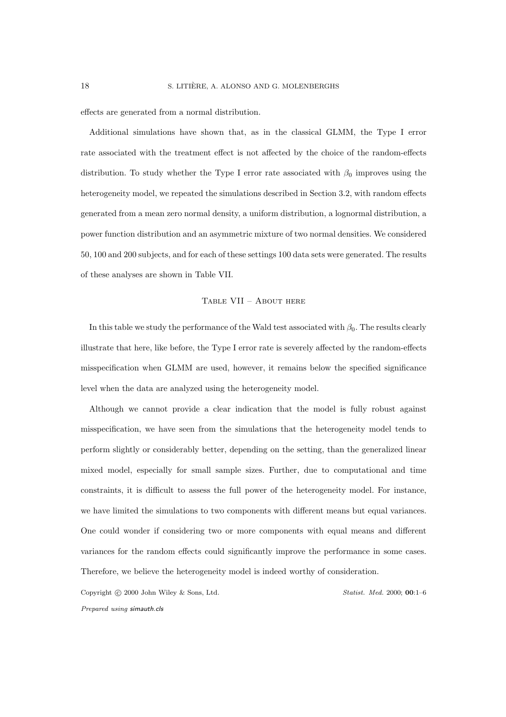effects are generated from a normal distribution.

Additional simulations have shown that, as in the classical GLMM, the Type I error rate associated with the treatment effect is not affected by the choice of the random-effects distribution. To study whether the Type I error rate associated with  $\beta_0$  improves using the heterogeneity model, we repeated the simulations described in Section 3.2, with random effects generated from a mean zero normal density, a uniform distribution, a lognormal distribution, a power function distribution and an asymmetric mixture of two normal densities. We considered 50, 100 and 200 subjects, and for each of these settings 100 data sets were generated. The results of these analyses are shown in Table VII.

#### Table VII – About here

In this table we study the performance of the Wald test associated with  $\beta_0$ . The results clearly illustrate that here, like before, the Type I error rate is severely affected by the random-effects misspecification when GLMM are used, however, it remains below the specified significance level when the data are analyzed using the heterogeneity model.

Although we cannot provide a clear indication that the model is fully robust against misspecification, we have seen from the simulations that the heterogeneity model tends to perform slightly or considerably better, depending on the setting, than the generalized linear mixed model, especially for small sample sizes. Further, due to computational and time constraints, it is difficult to assess the full power of the heterogeneity model. For instance, we have limited the simulations to two components with different means but equal variances. One could wonder if considering two or more components with equal means and different variances for the random effects could significantly improve the performance in some cases. Therefore, we believe the heterogeneity model is indeed worthy of consideration.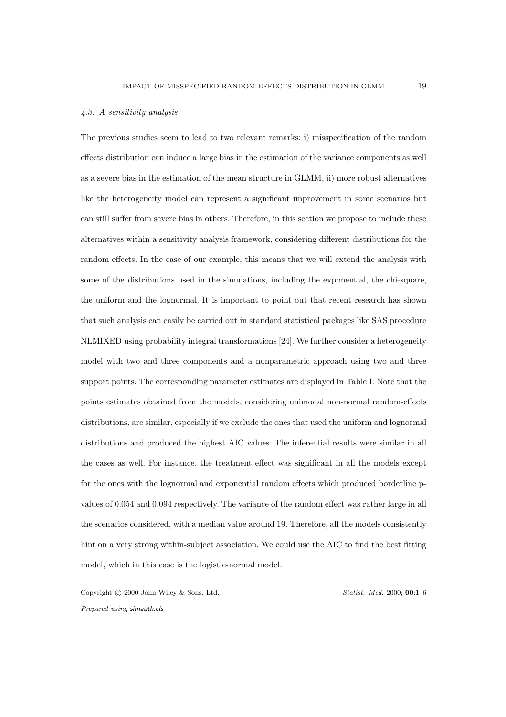#### 4.3. A sensitivity analysis

The previous studies seem to lead to two relevant remarks: i) misspecification of the random effects distribution can induce a large bias in the estimation of the variance components as well as a severe bias in the estimation of the mean structure in GLMM, ii) more robust alternatives like the heterogeneity model can represent a significant improvement in some scenarios but can still suffer from severe bias in others. Therefore, in this section we propose to include these alternatives within a sensitivity analysis framework, considering different distributions for the random effects. In the case of our example, this means that we will extend the analysis with some of the distributions used in the simulations, including the exponential, the chi-square, the uniform and the lognormal. It is important to point out that recent research has shown that such analysis can easily be carried out in standard statistical packages like SAS procedure NLMIXED using probability integral transformations [24]. We further consider a heterogeneity model with two and three components and a nonparametric approach using two and three support points. The corresponding parameter estimates are displayed in Table I. Note that the points estimates obtained from the models, considering unimodal non-normal random-effects distributions, are similar, especially if we exclude the ones that used the uniform and lognormal distributions and produced the highest AIC values. The inferential results were similar in all the cases as well. For instance, the treatment effect was significant in all the models except for the ones with the lognormal and exponential random effects which produced borderline pvalues of 0.054 and 0.094 respectively. The variance of the random effect was rather large in all the scenarios considered, with a median value around 19. Therefore, all the models consistently hint on a very strong within-subject association. We could use the AIC to find the best fitting model, which in this case is the logistic-normal model.

Copyright © 2000 John Wiley & Sons, Ltd. Statist. Med. 2000; 00:1–6

Prepared using simauth.cls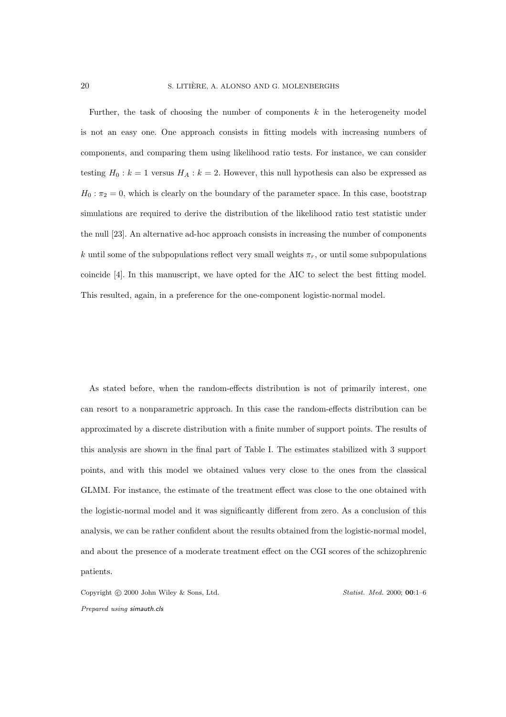Further, the task of choosing the number of components  $k$  in the heterogeneity model is not an easy one. One approach consists in fitting models with increasing numbers of components, and comparing them using likelihood ratio tests. For instance, we can consider testing  $H_0 : k = 1$  versus  $H_A : k = 2$ . However, this null hypothesis can also be expressed as  $H_0: \pi_2 = 0$ , which is clearly on the boundary of the parameter space. In this case, bootstrap simulations are required to derive the distribution of the likelihood ratio test statistic under the null [23]. An alternative ad-hoc approach consists in increasing the number of components k until some of the subpopulations reflect very small weights  $\pi_r$ , or until some subpopulations coincide [4]. In this manuscript, we have opted for the AIC to select the best fitting model. This resulted, again, in a preference for the one-component logistic-normal model.

As stated before, when the random-effects distribution is not of primarily interest, one can resort to a nonparametric approach. In this case the random-effects distribution can be approximated by a discrete distribution with a finite number of support points. The results of this analysis are shown in the final part of Table I. The estimates stabilized with 3 support points, and with this model we obtained values very close to the ones from the classical GLMM. For instance, the estimate of the treatment effect was close to the one obtained with the logistic-normal model and it was significantly different from zero. As a conclusion of this analysis, we can be rather confident about the results obtained from the logistic-normal model, and about the presence of a moderate treatment effect on the CGI scores of the schizophrenic patients.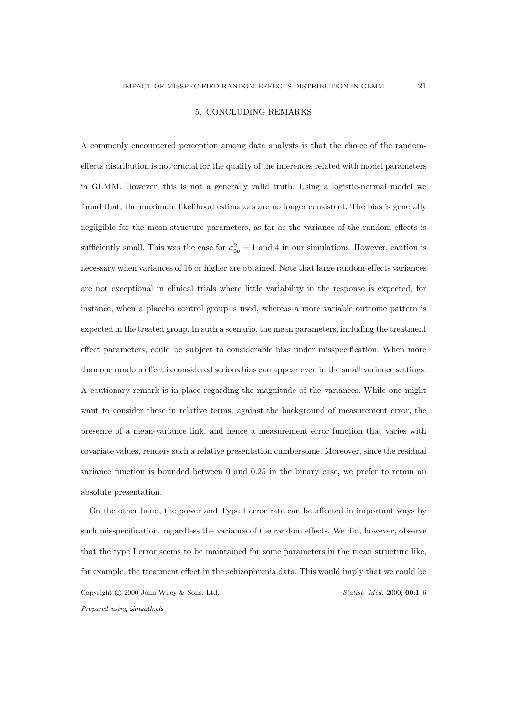#### 5. CONCLUDING REMARKS

A commonly encountered perception among data analysts is that the choice of the randomeffects distribution is not crucial for the quality of the inferences related with model parameters in GLMM. However, this is not a generally valid truth. Using a logistic-normal model we found that, the maximum likelihood estimators are no longer consistent. The bias is generally negligible for the mean-structure parameters, as far as the variance of the random effects is sufficiently small. This was the case for  $\sigma_{0b}^2 = 1$  and 4 in our simulations. However, caution is necessary when variances of 16 or higher are obtained. Note that large random-effects variances are not exceptional in clinical trials where little variability in the response is expected, for instance, when a placebo control group is used, whereas a more variable outcome pattern is expected in the treated group. In such a scenario, the mean parameters, including the treatment effect parameters, could be subject to considerable bias under misspecification. When more than one random effect is considered serious bias can appear even in the small variance settings. A cautionary remark is in place regarding the magnitude of the variances. While one might want to consider these in relative terms, against the background of measurement error, the presence of a mean-variance link, and hence a measurement error function that varies with covariate values, renders such a relative presentation cumbersome. Moreover, since the residual variance function is bounded between 0 and 0.25 in the binary case, we prefer to retain an absolute presentation.

On the other hand, the power and Type I error rate can be affected in important ways by such misspecification, regardless the variance of the random effects. We did, however, observe that the type I error seems to be maintained for some parameters in the mean structure like, for example, the treatment effect in the schizophrenia data. This would imply that we could be Copyright © 2000 John Wiley & Sons, Ltd. Statist. Med. 2000; 00:1-6 Prepared using simauth.cls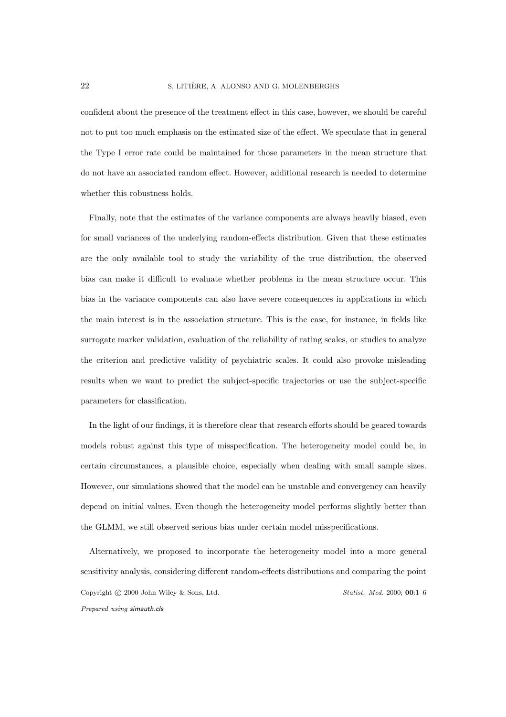confident about the presence of the treatment effect in this case, however, we should be careful not to put too much emphasis on the estimated size of the effect. We speculate that in general the Type I error rate could be maintained for those parameters in the mean structure that do not have an associated random effect. However, additional research is needed to determine whether this robustness holds.

Finally, note that the estimates of the variance components are always heavily biased, even for small variances of the underlying random-effects distribution. Given that these estimates are the only available tool to study the variability of the true distribution, the observed bias can make it difficult to evaluate whether problems in the mean structure occur. This bias in the variance components can also have severe consequences in applications in which the main interest is in the association structure. This is the case, for instance, in fields like surrogate marker validation, evaluation of the reliability of rating scales, or studies to analyze the criterion and predictive validity of psychiatric scales. It could also provoke misleading results when we want to predict the subject-specific trajectories or use the subject-specific parameters for classification.

In the light of our findings, it is therefore clear that research efforts should be geared towards models robust against this type of misspecification. The heterogeneity model could be, in certain circumstances, a plausible choice, especially when dealing with small sample sizes. However, our simulations showed that the model can be unstable and convergency can heavily depend on initial values. Even though the heterogeneity model performs slightly better than the GLMM, we still observed serious bias under certain model misspecifications.

Alternatively, we proposed to incorporate the heterogeneity model into a more general sensitivity analysis, considering different random-effects distributions and comparing the point Copyright © 2000 John Wiley & Sons, Ltd. Statist. Med. 2000; 00:1-6 Prepared using simauth.cls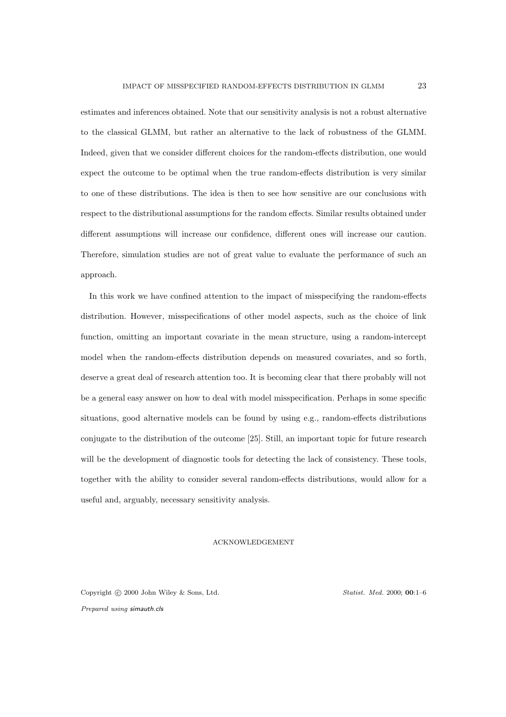estimates and inferences obtained. Note that our sensitivity analysis is not a robust alternative to the classical GLMM, but rather an alternative to the lack of robustness of the GLMM. Indeed, given that we consider different choices for the random-effects distribution, one would expect the outcome to be optimal when the true random-effects distribution is very similar to one of these distributions. The idea is then to see how sensitive are our conclusions with respect to the distributional assumptions for the random effects. Similar results obtained under different assumptions will increase our confidence, different ones will increase our caution. Therefore, simulation studies are not of great value to evaluate the performance of such an approach.

In this work we have confined attention to the impact of misspecifying the random-effects distribution. However, misspecifications of other model aspects, such as the choice of link function, omitting an important covariate in the mean structure, using a random-intercept model when the random-effects distribution depends on measured covariates, and so forth, deserve a great deal of research attention too. It is becoming clear that there probably will not be a general easy answer on how to deal with model misspecification. Perhaps in some specific situations, good alternative models can be found by using e.g., random-effects distributions conjugate to the distribution of the outcome [25]. Still, an important topic for future research will be the development of diagnostic tools for detecting the lack of consistency. These tools, together with the ability to consider several random-effects distributions, would allow for a useful and, arguably, necessary sensitivity analysis.

#### ACKNOWLEDGEMENT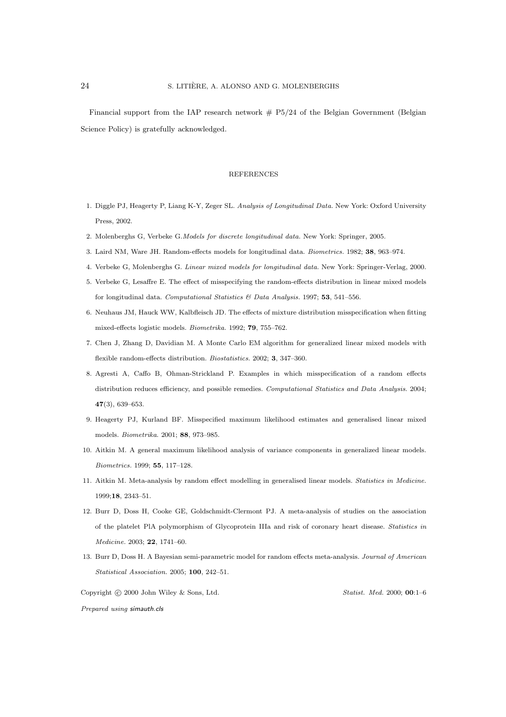Financial support from the IAP research network  $# P5/24$  of the Belgian Government (Belgian Science Policy) is gratefully acknowledged.

#### REFERENCES

- 1. Diggle PJ, Heagerty P, Liang K-Y, Zeger SL. Analysis of Longitudinal Data. New York: Oxford University Press, 2002.
- 2. Molenberghs G, Verbeke G.Models for discrete longitudinal data. New York: Springer, 2005.
- 3. Laird NM, Ware JH. Random-effects models for longitudinal data. Biometrics. 1982; 38, 963–974.
- 4. Verbeke G, Molenberghs G. Linear mixed models for longitudinal data. New York: Springer-Verlag, 2000.
- 5. Verbeke G, Lesaffre E. The effect of misspecifying the random-effects distribution in linear mixed models for longitudinal data. Computational Statistics  $\mathcal B$  Data Analysis. 1997; 53, 541–556.
- 6. Neuhaus JM, Hauck WW, Kalbfleisch JD. The effects of mixture distribution misspecification when fitting mixed-effects logistic models. Biometrika. 1992; 79, 755–762.
- 7. Chen J, Zhang D, Davidian M. A Monte Carlo EM algorithm for generalized linear mixed models with flexible random-effects distribution. Biostatistics. 2002; 3, 347–360.
- 8. Agresti A, Caffo B, Ohman-Strickland P. Examples in which misspecification of a random effects distribution reduces efficiency, and possible remedies. Computational Statistics and Data Analysis. 2004; 47(3), 639–653.
- 9. Heagerty PJ, Kurland BF. Misspecified maximum likelihood estimates and generalised linear mixed models. Biometrika. 2001; 88, 973–985.
- 10. Aitkin M. A general maximum likelihood analysis of variance components in generalized linear models. Biometrics. 1999; 55, 117–128.
- 11. Aitkin M. Meta-analysis by random effect modelling in generalised linear models. Statistics in Medicine. 1999;18, 2343–51.
- 12. Burr D, Doss H, Cooke GE, Goldschmidt-Clermont PJ. A meta-analysis of studies on the association of the platelet PlA polymorphism of Glycoprotein IIIa and risk of coronary heart disease. Statistics in Medicine. 2003; 22, 1741–60.
- 13. Burr D, Doss H. A Bayesian semi-parametric model for random effects meta-analysis. Journal of American Statistical Association. 2005; 100, 242–51.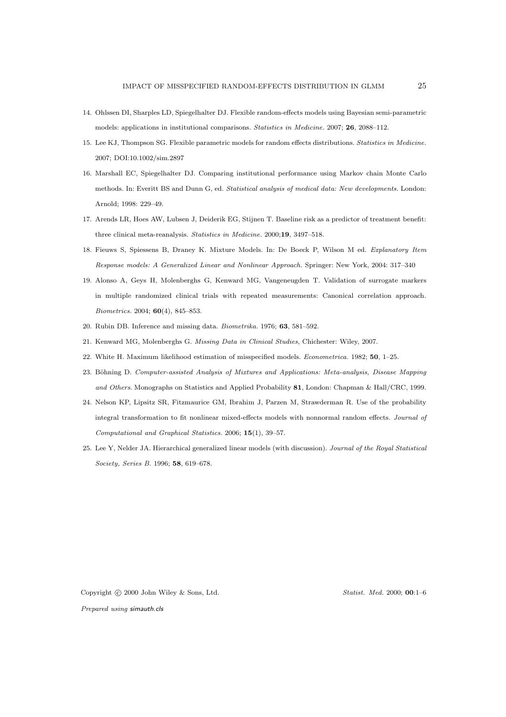- 14. Ohlssen DI, Sharples LD, Spiegelhalter DJ. Flexible random-effects models using Bayesian semi-parametric models: applications in institutional comparisons. Statistics in Medicine. 2007; 26, 2088–112.
- 15. Lee KJ, Thompson SG. Flexible parametric models for random effects distributions. Statistics in Medicine. 2007; DOI:10.1002/sim.2897
- 16. Marshall EC, Spiegelhalter DJ. Comparing institutional performance using Markov chain Monte Carlo methods. In: Everitt BS and Dunn G, ed. Statistical analysis of medical data: New developments. London: Arnold; 1998: 229–49.
- 17. Arends LR, Hoes AW, Lubsen J, Deiderik EG, Stijnen T. Baseline risk as a predictor of treatment benefit: three clinical meta-reanalysis. Statistics in Medicine. 2000;19, 3497–518.
- 18. Fieuws S, Spiessens B, Draney K. Mixture Models. In: De Boeck P, Wilson M ed. Explanatory Item Response models: A Generalized Linear and Nonlinear Approach. Springer: New York, 2004: 317–340
- 19. Alonso A, Geys H, Molenberghs G, Kenward MG, Vangeneugden T. Validation of surrogate markers in multiple randomized clinical trials with repeated measurements: Canonical correlation approach. Biometrics. 2004; 60(4), 845–853.
- 20. Rubin DB. Inference and missing data. Biometrika. 1976; 63, 581–592.
- 21. Kenward MG, Molenberghs G. Missing Data in Clinical Studies, Chichester: Wiley, 2007.
- 22. White H. Maximum likelihood estimation of misspecified models. Econometrica. 1982; 50, 1–25.
- 23. Böhning D. Computer-assisted Analysis of Mixtures and Applications: Meta-analysis, Disease Mapping and Others. Monographs on Statistics and Applied Probability 81, London: Chapman & Hall/CRC, 1999.
- 24. Nelson KP, Lipsitz SR, Fitzmaurice GM, Ibrahim J, Parzen M, Strawderman R. Use of the probability integral transformation to fit nonlinear mixed-effects models with nonnormal random effects. Journal of Computational and Graphical Statistics. 2006; 15(1), 39–57.
- 25. Lee Y, Nelder JA. Hierarchical generalized linear models (with discussion). Journal of the Royal Statistical Society, Series B. 1996; 58, 619–678.

Copyright © 2000 John Wiley & Sons, Ltd. Statist. Med. 2000; 00:1–6

Prepared using simauth.cls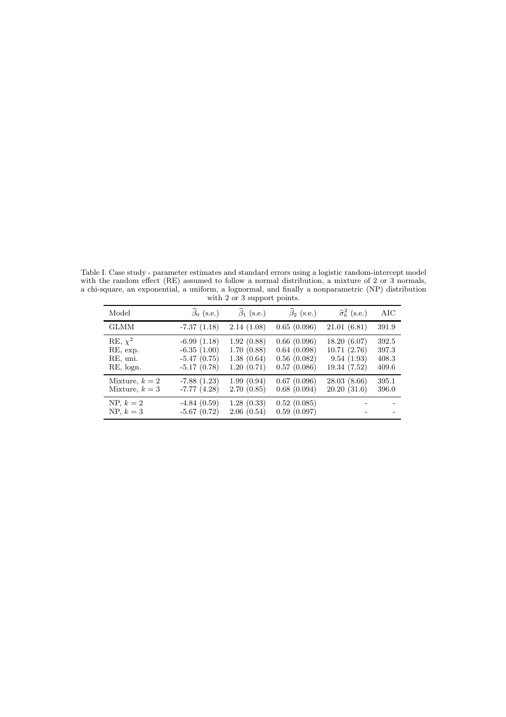Table I. Case study - parameter estimates and standard errors using a logistic random-intercept model with the random effect (RE) assumed to follow a normal distribution, a mixture of 2 or 3 normals, a chi-square, an exponential, a uniform, a lognormal, and finally a nonparametric (NP) distribution with 2 or 3 support points.

| Model                                             | $\widehat{\beta}_0$ (s.e.)                                       | $\hat{\beta}_1$ (s.e.)                               | $\hat{\beta}_2$ (s.e.)                                   | $\hat{\sigma}_{b}^{2}$ (s.e.)                            | AIC                              |
|---------------------------------------------------|------------------------------------------------------------------|------------------------------------------------------|----------------------------------------------------------|----------------------------------------------------------|----------------------------------|
| <b>GLMM</b>                                       | $-7.37(1.18)$                                                    | 2.14(1.08)                                           | 0.65(0.096)                                              | 21.01(6.81)                                              | 391.9                            |
| RE, $\chi^2$<br>RE, exp.<br>RE, uni.<br>RE, logn. | $-6.99(1.18)$<br>$-6.35(1.00)$<br>$-5.47(0.75)$<br>$-5.17(0.78)$ | 1.92(0.88)<br>1.70(0.88)<br>1.38(0.64)<br>1.20(0.71) | 0.66(0.096)<br>0.64(0.098)<br>0.56(0.082)<br>0.57(0.086) | 18.20(6.07)<br>10.71(2.76)<br>9.54(1.93)<br>19.34 (7.52) | 392.5<br>397.3<br>408.3<br>409.6 |
| Mixture, $k=2$<br>Mixture, $k=3$                  | $-7.88(1.23)$<br>$-7.77(4.28)$                                   | 1.99(0.94)<br>2.70(0.85)                             | 0.67(0.096)<br>0.68(0.094)                               | 28.03(8.66)<br>20.20(31.6)                               | 395.1<br>396.0                   |
| NP, $k=2$<br>$NP, k = 3$                          | $-4.84(0.59)$<br>$-5.67(0.72)$                                   | 1.28(0.33)<br>2.06(0.54)                             | 0.52(0.085)<br>0.59(0.097)                               |                                                          |                                  |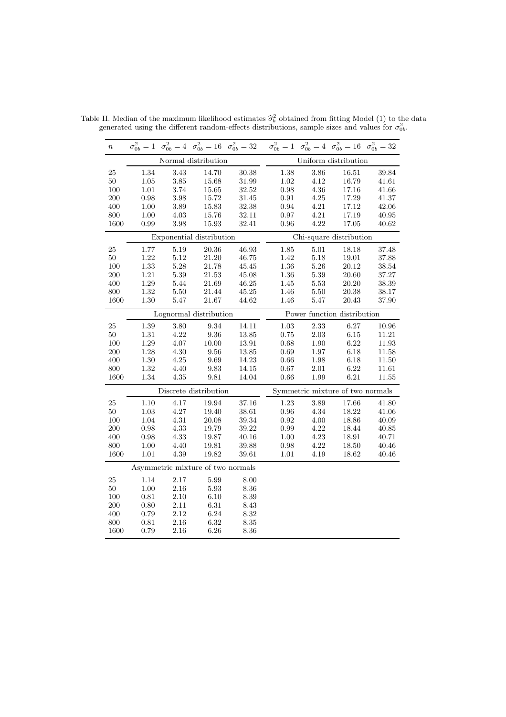| $\boldsymbol{n}$ |                                   |          |                          | $\sigma_{0b}^2 = 1$ $\sigma_{0b}^2 = 4$ $\sigma_{0b}^2 = 16$ $\sigma_{0b}^2 = 32$ $\sigma_{0b}^2 = 1$ $\sigma_{0b}^2 = 4$ $\sigma_{0b}^2 = 16$ $\sigma_{0b}^2 = 32$ |                             |          |                                  |       |  |
|------------------|-----------------------------------|----------|--------------------------|---------------------------------------------------------------------------------------------------------------------------------------------------------------------|-----------------------------|----------|----------------------------------|-------|--|
|                  |                                   |          | Normal distribution      |                                                                                                                                                                     |                             |          | Uniform distribution             |       |  |
| 25               | 1.34                              | 3.43     | 14.70                    | 30.38                                                                                                                                                               | 1.38                        | $3.86\,$ | 16.51                            | 39.84 |  |
| $50\,$           | $1.05\,$                          | $3.85\,$ | 15.68                    | $31.99\,$                                                                                                                                                           | 1.02                        | 4.12     | 16.79                            | 41.61 |  |
| 100              | $1.01\,$                          | 3.74     | 15.65                    | $32.52\,$                                                                                                                                                           | 0.98                        | $4.36\,$ | 17.16                            | 41.66 |  |
| 200              | $\rm 0.98$                        | $3.98\,$ | 15.72                    | $31.45\,$                                                                                                                                                           | $\rm 0.91$                  | $4.25\,$ | 17.29                            | 41.37 |  |
| 400              | 1.00                              | 3.89     | 15.83                    | 32.38                                                                                                                                                               | 0.94                        | 4.21     | 17.12                            | 42.06 |  |
| 800              | 1.00                              | 4.03     | 15.76                    | 32.11                                                                                                                                                               | 0.97                        | 4.21     | 17.19                            | 40.95 |  |
| 1600             | 0.99                              | 3.98     | 15.93                    | 32.41                                                                                                                                                               | $\rm 0.96$                  | 4.22     | 17.05                            | 40.62 |  |
|                  |                                   |          | Exponential distribution |                                                                                                                                                                     |                             |          | Chi-square distribution          |       |  |
| $25\,$           | 1.77                              | 5.19     | 20.36                    | 46.93                                                                                                                                                               | 1.85                        | $5.01\,$ | 18.18                            | 37.48 |  |
| $50\,$           | $1.22\,$                          | 5.12     | 21.20                    | 46.75                                                                                                                                                               | 1.42                        | 5.18     | 19.01                            | 37.88 |  |
| 100              | 1.33                              | $5.28\,$ | 21.78                    | 45.45                                                                                                                                                               | $1.36\,$                    | $5.26\,$ | 20.12                            | 38.54 |  |
| 200              | $1.21\,$                          | $5.39\,$ | 21.53                    | 45.08                                                                                                                                                               | 1.36                        | $5.39\,$ | 20.60                            | 37.27 |  |
| 400              | $1.29\,$                          | 5.44     | 21.69                    | 46.25                                                                                                                                                               | $1.45\,$                    | $5.53\,$ | 20.20                            | 38.39 |  |
| 800              | 1.32                              | $5.50\,$ | 21.44                    | 45.25                                                                                                                                                               | 1.46                        | 5.50     | 20.38                            | 38.17 |  |
| 1600             | $1.30\,$                          | 5.47     | $21.67\,$                | 44.62                                                                                                                                                               | 1.46                        | $5.47\,$ | 20.43                            | 37.90 |  |
|                  |                                   |          | Lognormal distribution   |                                                                                                                                                                     | Power function distribution |          |                                  |       |  |
| 25               | $1.39\,$                          | $3.80\,$ | 9.34                     | 14.11                                                                                                                                                               | $1.03\,$                    | 2.33     | 6.27                             | 10.96 |  |
| $50\,$           | 1.31                              | 4.22     | 9.36                     | 13.85                                                                                                                                                               | 0.75                        | $2.03\,$ | 6.15                             | 11.21 |  |
| 100              | $1.29\,$                          | $4.07\,$ | 10.00                    | 13.91                                                                                                                                                               | 0.68                        | 1.90     | 6.22                             | 11.93 |  |
| 200              | 1.28                              | $4.30\,$ | 9.56                     | 13.85                                                                                                                                                               | 0.69                        | 1.97     | 6.18                             | 11.58 |  |
| 400              | $1.30\,$                          | 4.25     | 9.69                     | 14.23                                                                                                                                                               | 0.66                        | 1.98     | 6.18                             | 11.50 |  |
| 800              | 1.32                              | 4.40     | 9.83                     | 14.15                                                                                                                                                               | 0.67                        | 2.01     | 6.22                             | 11.61 |  |
| 1600             | 1.34                              | 4.35     | $\,9.81$                 | 14.04                                                                                                                                                               | 0.66                        | 1.99     | 6.21                             | 11.55 |  |
|                  |                                   |          | Discrete distribution    |                                                                                                                                                                     |                             |          | Symmetric mixture of two normals |       |  |
| 25               | 1.10                              | 4.17     | 19.94                    | 37.16                                                                                                                                                               | 1.23                        | 3.89     | 17.66                            | 41.80 |  |
| 50               | $1.03\,$                          | $4.27\,$ | 19.40                    | 38.61                                                                                                                                                               | $\rm 0.96$                  | 4.34     | 18.22                            | 41.06 |  |
| 100              | 1.04                              | $4.31\,$ | 20.08                    | 39.34                                                                                                                                                               | 0.92                        | $4.00\,$ | 18.86                            | 40.09 |  |
| 200              | 0.98                              | 4.33     | 19.79                    | 39.22                                                                                                                                                               | 0.99                        | 4.22     | 18.44                            | 40.85 |  |
| 400              | $0.98\,$                          | $4.33\,$ | 19.87                    | 40.16                                                                                                                                                               | 1.00                        | $4.23\,$ | 18.91                            | 40.71 |  |
| 800              | 1.00                              | 4.40     | 19.81                    | 39.88                                                                                                                                                               | 0.98                        | 4.22     | 18.50                            | 40.46 |  |
| 1600             | 1.01                              | 4.39     | 19.82                    | 39.61                                                                                                                                                               | 1.01                        | 4.19     | 18.62                            | 40.46 |  |
|                  | Asymmetric mixture of two normals |          |                          |                                                                                                                                                                     |                             |          |                                  |       |  |
| 25               | 1.14                              | 2.17     | 5.99                     | 8.00                                                                                                                                                                |                             |          |                                  |       |  |
| 50               | 1.00                              | 2.16     | 5.93                     | 8.36                                                                                                                                                                |                             |          |                                  |       |  |
| 100              | 0.81                              | $2.10\,$ | 6.10                     | 8.39                                                                                                                                                                |                             |          |                                  |       |  |
| 200              | 0.80                              | $2.11\,$ | $6.31\,$                 | 8.43                                                                                                                                                                |                             |          |                                  |       |  |
| 400              | 0.79                              | 2.12     | 6.24                     | 8.32                                                                                                                                                                |                             |          |                                  |       |  |
| 800              | 0.81                              | 2.16     | 6.32                     | 8.35                                                                                                                                                                |                             |          |                                  |       |  |
| 1600             | 0.79                              | 2.16     | 6.26                     | 8.36                                                                                                                                                                |                             |          |                                  |       |  |

Table II. Median of the maximum likelihood estimates  $\hat{\sigma}_b^2$  obtained from fitting Model (1) to the data generated using the different random-effects distributions, sample sizes and values for  $\sigma_{0b}^2$ .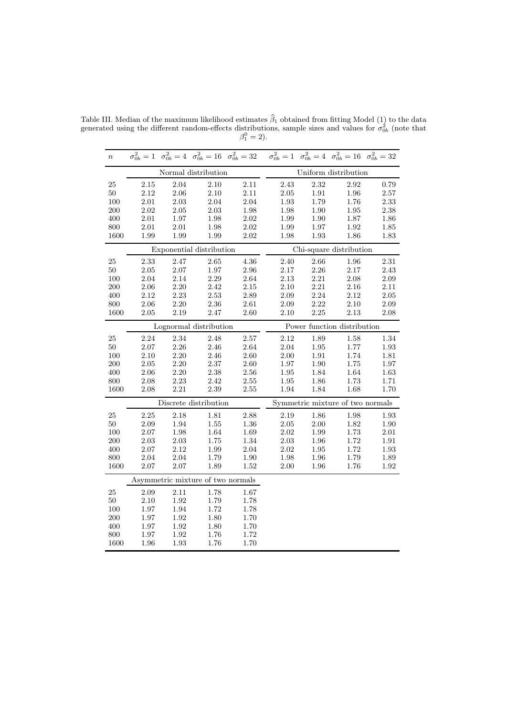| $\boldsymbol{n}$ |          |          |                                   | $\sigma_{0b}^2 = 1$ $\sigma_{0b}^2 = 4$ $\sigma_{0b}^2 = 16$ $\sigma_{0b}^2 = 32$ $\sigma_{0b}^2 = 1$ $\sigma_{0b}^2 = 4$ $\sigma_{0b}^2 = 16$ $\sigma_{0b}^2 = 32$ |                             |          |                                  |          |  |
|------------------|----------|----------|-----------------------------------|---------------------------------------------------------------------------------------------------------------------------------------------------------------------|-----------------------------|----------|----------------------------------|----------|--|
|                  |          |          | Normal distribution               |                                                                                                                                                                     |                             |          | Uniform distribution             |          |  |
| 25               | 2.15     | 2.04     | 2.10                              | 2.11                                                                                                                                                                | 2.43                        | 2.32     | 2.92                             | 0.79     |  |
| $50\,$           | 2.12     | 2.06     | 2.10                              | 2.11                                                                                                                                                                | $2.05\,$                    | 1.91     | $1.96\,$                         | $2.57\,$ |  |
| 100              | 2.01     | $2.03\,$ | 2.04                              | 2.04                                                                                                                                                                | 1.93                        | 1.79     | 1.76                             | 2.33     |  |
| 200              | 2.02     | 2.05     | 2.03                              | 1.98                                                                                                                                                                | 1.98                        | 1.90     | 1.95                             | 2.38     |  |
| 400              | 2.01     | $1.97\,$ | 1.98                              | 2.02                                                                                                                                                                | 1.99                        | 1.90     | 1.87                             | 1.86     |  |
| 800              | 2.01     | 2.01     | 1.98                              | 2.02                                                                                                                                                                | 1.99                        | 1.97     | 1.92                             | 1.85     |  |
| 1600             | 1.99     | 1.99     | 1.99                              | 2.02                                                                                                                                                                | 1.98                        | 1.93     | 1.86                             | 1.83     |  |
|                  |          |          | Exponential distribution          |                                                                                                                                                                     |                             |          | Chi-square distribution          |          |  |
| 25               | 2.33     | 2.47     | 2.65                              | 4.36                                                                                                                                                                | 2.40                        | 2.66     | 1.96                             | 2.31     |  |
| $50\,$           | $2.05\,$ | $2.07\,$ | 1.97                              | $2.96\,$                                                                                                                                                            | 2.17                        | 2.26     | 2.17                             | 2.43     |  |
| 100              | 2.04     | 2.14     | 2.29                              | 2.64                                                                                                                                                                | 2.13                        | $2.21\,$ | $2.08\,$                         | 2.09     |  |
| 200              | 2.06     | $2.20\,$ | 2.42                              | 2.15                                                                                                                                                                | 2.10                        | 2.21     | 2.16                             | 2.11     |  |
| 400              | 2.12     | 2.23     | 2.53                              | 2.89                                                                                                                                                                | 2.09                        | $2.24\,$ | 2.12                             | 2.05     |  |
| 800              | 2.06     | $2.20\,$ | 2.36                              | 2.61                                                                                                                                                                | 2.09                        | 2.22     | 2.10                             | 2.09     |  |
| 1600             | 2.05     | 2.19     | 2.47                              | 2.60                                                                                                                                                                | 2.10                        | 2.25     | 2.13                             | 2.08     |  |
|                  |          |          | Lognormal distribution            |                                                                                                                                                                     | Power function distribution |          |                                  |          |  |
| 25               | 2.24     | 2.34     | 2.48                              | 2.57                                                                                                                                                                | 2.12                        | 1.89     | 1.58                             | 1.34     |  |
| $50\,$           | $2.07\,$ | $2.26\,$ | 2.46                              | $2.64\,$                                                                                                                                                            | 2.04                        | 1.95     | 1.77                             | 1.93     |  |
| 100              | 2.10     | 2.20     | 2.46                              | 2.60                                                                                                                                                                | 2.00                        | 1.91     | 1.74                             | 1.81     |  |
| 200              | 2.05     | $2.20\,$ | 2.37                              | 2.60                                                                                                                                                                | 1.97                        | 1.90     | 1.75                             | 1.97     |  |
| 400              | 2.06     | 2.20     | 2.38                              | 2.56                                                                                                                                                                | 1.95                        | 1.84     | 1.64                             | 1.63     |  |
| 800              | 2.08     | $2.23\,$ | 2.42                              | $2.55\,$                                                                                                                                                            | $1.95\,$                    | 1.86     | 1.73                             | 1.71     |  |
| 1600             | 2.08     | 2.21     | 2.39                              | 2.55                                                                                                                                                                | 1.94                        | 1.84     | 1.68                             | 1.70     |  |
|                  |          |          | Discrete distribution             |                                                                                                                                                                     |                             |          | Symmetric mixture of two normals |          |  |
| $25\,$           | 2.25     | 2.18     | 1.81                              | $2.88\,$                                                                                                                                                            | 2.19                        | 1.86     | $1.98\,$                         | 1.93     |  |
| $50\,$           | 2.09     | 1.94     | 1.55                              | 1.36                                                                                                                                                                | $2.05\,$                    | $2.00\,$ | 1.82                             | 1.90     |  |
| 100              | 2.07     | 1.98     | 1.64                              | 1.69                                                                                                                                                                | 2.02                        | 1.99     | 1.73                             | $2.01\,$ |  |
| 200              | 2.03     | 2.03     | 1.75                              | 1.34                                                                                                                                                                | 2.03                        | 1.96     | 1.72                             | 1.91     |  |
| 400              | 2.07     | 2.12     | 1.99                              | 2.04                                                                                                                                                                | 2.02                        | 1.95     | 1.72                             | 1.93     |  |
| 800              | 2.04     | 2.04     | 1.79                              | 1.90                                                                                                                                                                | 1.98                        | 1.96     | 1.79                             | 1.89     |  |
| 1600             | $2.07\,$ | $2.07\,$ | 1.89                              | 1.52                                                                                                                                                                | 2.00                        | 1.96     | 1.76                             | 1.92     |  |
|                  |          |          | Asymmetric mixture of two normals |                                                                                                                                                                     |                             |          |                                  |          |  |
| $25\,$           | 2.09     | $2.11\,$ | 1.78                              | 1.67                                                                                                                                                                |                             |          |                                  |          |  |
| $50\,$           | 2.10     | 1.92     | 1.79                              | 1.78                                                                                                                                                                |                             |          |                                  |          |  |
| 100              | 1.97     | 1.94     | 1.72                              | 1.78                                                                                                                                                                |                             |          |                                  |          |  |
| 200              | 1.97     | 1.92     | 1.80                              | 1.70                                                                                                                                                                |                             |          |                                  |          |  |
| 400              | 1.97     | 1.92     | 1.80                              | 1.70                                                                                                                                                                |                             |          |                                  |          |  |
| 800              | 1.97     | 1.92     | 1.76                              | 1.72                                                                                                                                                                |                             |          |                                  |          |  |
| 1600             | 1.96     | 1.93     | 1.76                              | 1.70                                                                                                                                                                |                             |          |                                  |          |  |

Table III. Median of the maximum likelihood estimates  $\beta_1$  obtained from fitting Model (1) to the data generated using the different random-effects distributions, sample sizes and values for  $\sigma_{0b}^2$  (note that  $\beta_1^0 = 2$ ).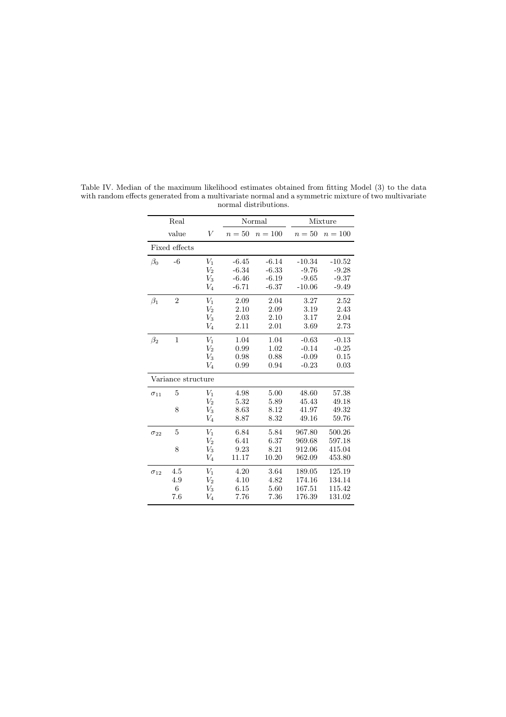|               | Real           |                     |         | Normal    | Mixture  |           |  |
|---------------|----------------|---------------------|---------|-----------|----------|-----------|--|
|               |                |                     |         |           |          |           |  |
|               | value          | V                   | $n=50$  | $n = 100$ | $n=50$   | $n = 100$ |  |
|               | Fixed effects  |                     |         |           |          |           |  |
| $\beta_0$     | $-6$           | $V_1$               | $-6.45$ | $-6.14$   | $-10.34$ | $-10.52$  |  |
|               |                | $V_2$               | $-6.34$ | $-6.33$   | $-9.76$  | $-9.28$   |  |
|               |                | $V_3$               | $-6.46$ | $-6.19$   | $-9.65$  | $-9.37$   |  |
|               |                | $V_4$               | $-6.71$ | $-6.37$   | $-10.06$ | $-9.49$   |  |
| $\beta_1$     | $\overline{2}$ | $V_1$               | 2.09    | 2.04      | 3.27     | 2.52      |  |
|               |                | $V_2$               | 2.10    | 2.09      | 3.19     | 2.43      |  |
|               |                | $V_3$               | 2.03    | 2.10      | 3.17     | 2.04      |  |
|               |                | $V_4$               | 2.11    | 2.01      | 3.69     | 2.73      |  |
| $\beta_2$     | $\mathbf{1}$   | $V_1$               | 1.04    | 1.04      | $-0.63$  | $-0.13$   |  |
|               |                | $V_2$               | 0.99    | 1.02      | $-0.14$  | $-0.25$   |  |
|               |                | $V_3$               | 0.98    | 0.88      | $-0.09$  | 0.15      |  |
|               |                | $V_4$               | 0.99    | 0.94      | $-0.23$  | 0.03      |  |
|               |                | Variance structure  |         |           |          |           |  |
| $\sigma_{11}$ | 5              | $V_1$               | 4.98    | 5.00      | 48.60    | 57.38     |  |
|               |                | $V_2$               | 5.32    | 5.89      | 45.43    | 49.18     |  |
|               | 8              | $V_3$               | 8.63    | 8.12      | 41.97    | 49.32     |  |
|               |                | $V_4$               | 8.87    | 8.32      | 49.16    | 59.76     |  |
| $\sigma_{22}$ | 5              | $V_1$               | 6.84    | 5.84      | 967.80   | 500.26    |  |
|               |                | $V_2$               | 6.41    | 6.37      | 969.68   | 597.18    |  |
|               | 8              | $V_3$               | 9.23    | 8.21      | 912.06   | 415.04    |  |
|               |                | $\scriptstyle{V_4}$ | 11.17   | 10.20     | 962.09   | 453.80    |  |
| $\sigma_{12}$ | 4.5            | V1                  | 4.20    | 3.64      | 189.05   | 125.19    |  |
|               | 4.9            | $V_2$               | 4.10    | 4.82      | 174.16   | 134.14    |  |
|               | 6              | $\scriptstyle{V_3}$ | 6.15    | 5.60      | 167.51   | 115.42    |  |
|               | 7.6            | $V_4$               | 7.76    | 7.36      | 176.39   | 131.02    |  |

Table IV. Median of the maximum likelihood estimates obtained from fitting Model (3) to the data with random effects generated from a multivariate normal and a symmetric mixture of two multivariate normal distributions.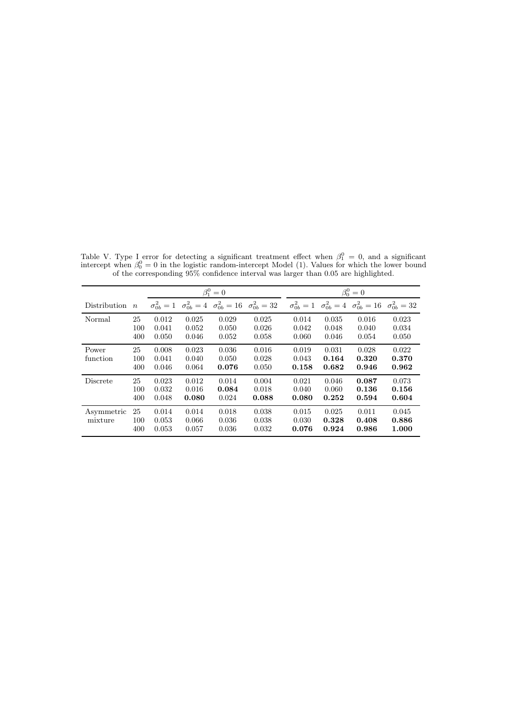|                       |                  |                         | $\beta_1^0=0$           |                         |                                                                                               |                         | $\beta_0^0=0$           |                                                                                               |                         |  |
|-----------------------|------------------|-------------------------|-------------------------|-------------------------|-----------------------------------------------------------------------------------------------|-------------------------|-------------------------|-----------------------------------------------------------------------------------------------|-------------------------|--|
| <b>Distribution</b>   | $\boldsymbol{n}$ |                         |                         |                         | $\sigma_{0b}^2 = 1 \quad \sigma_{0b}^2 = 4 \quad \sigma_{0b}^2 = 16 \quad \sigma_{0b}^2 = 32$ |                         |                         | $\sigma_{0b}^2 = 1 \quad \sigma_{0b}^2 = 4 \quad \sigma_{0b}^2 = 16 \quad \sigma_{0b}^2 = 32$ |                         |  |
| Normal                | 25<br>100<br>400 | 0.012<br>0.041<br>0.050 | 0.025<br>0.052<br>0.046 | 0.029<br>0.050<br>0.052 | 0.025<br>0.026<br>0.058                                                                       | 0.014<br>0.042<br>0.060 | 0.035<br>0.048<br>0.046 | 0.016<br>0.040<br>0.054                                                                       | 0.023<br>0.034<br>0.050 |  |
| Power<br>function     | 25<br>100<br>400 | 0.008<br>0.041<br>0.046 | 0.023<br>0.040<br>0.064 | 0.036<br>0.050<br>0.076 | 0.016<br>0.028<br>0.050                                                                       | 0.019<br>0.043<br>0.158 | 0.031<br>0.164<br>0.682 | 0.028<br>0.320<br>0.946                                                                       | 0.022<br>0.370<br>0.962 |  |
| Discrete              | 25<br>100<br>400 | 0.023<br>0.032<br>0.048 | 0.012<br>0.016<br>0.080 | 0.014<br>0.084<br>0.024 | 0.004<br>0.018<br>0.088                                                                       | 0.021<br>0.040<br>0.080 | 0.046<br>0.060<br>0.252 | 0.087<br>0.136<br>0.594                                                                       | 0.073<br>0.156<br>0.604 |  |
| Asymmetric<br>mixture | 25<br>100<br>400 | 0.014<br>0.053<br>0.053 | 0.014<br>0.066<br>0.057 | 0.018<br>0.036<br>0.036 | 0.038<br>0.038<br>0.032                                                                       | 0.015<br>0.030<br>0.076 | 0.025<br>0.328<br>0.924 | 0.011<br>0.408<br>0.986                                                                       | 0.045<br>0.886<br>1.000 |  |

Table V. Type I error for detecting a significant treatment effect when  $\beta_1^0 = 0$ , and a significant intercept when  $\beta_0^0 = 0$  in the logistic random-intercept Model (1). Values for which the lower bound of the corresponding 95% confidence interval was larger than 0.05 are highlighted.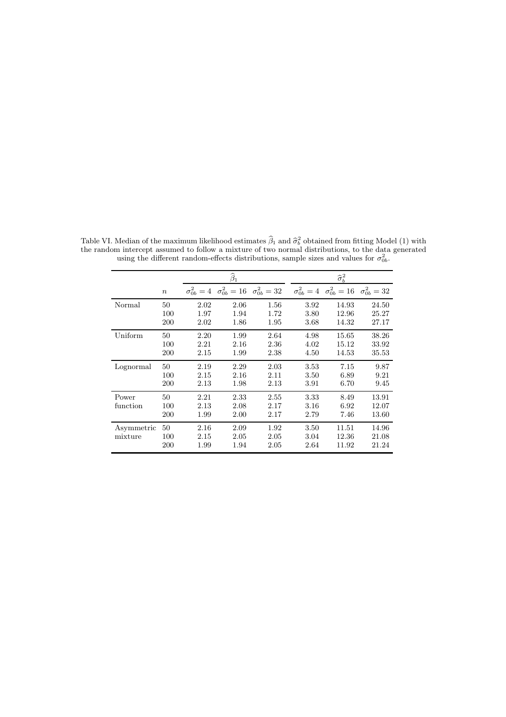|            |                  | $\widehat{\beta}_1$ |      |      |                                                                                                                                                 | $\widehat{\sigma}_{b}^{2}$ |       |  |  |  |
|------------|------------------|---------------------|------|------|-------------------------------------------------------------------------------------------------------------------------------------------------|----------------------------|-------|--|--|--|
|            | $\boldsymbol{n}$ |                     |      |      | $\sigma_{0b}^2 = 4 \quad \sigma_{0b}^2 = 16 \quad \sigma_{0b}^2 = 32 \quad \sigma_{0b}^2 = 4 \quad \sigma_{0b}^2 = 16 \quad \sigma_{0b}^2 = 32$ |                            |       |  |  |  |
| Normal     | 50               | 2.02                | 2.06 | 1.56 | 3.92                                                                                                                                            | 14.93                      | 24.50 |  |  |  |
|            | 100              | 1.97                | 1.94 | 1.72 | 3.80                                                                                                                                            | 12.96                      | 25.27 |  |  |  |
|            | 200              | 2.02                | 1.86 | 1.95 | 3.68                                                                                                                                            | 14.32                      | 27.17 |  |  |  |
| Uniform    | 50               | 2.20                | 1.99 | 2.64 | 4.98                                                                                                                                            | 15.65                      | 38.26 |  |  |  |
|            | 100              | 2.21                | 2.16 | 2.36 | 4.02                                                                                                                                            | 15.12                      | 33.92 |  |  |  |
|            | 200              | 2.15                | 1.99 | 2.38 | 4.50                                                                                                                                            | 14.53                      | 35.53 |  |  |  |
| Lognormal  | 50               | 2.19                | 2.29 | 2.03 | 3.53                                                                                                                                            | 7.15                       | 9.87  |  |  |  |
|            | 100              | 2.15                | 2.16 | 2.11 | 3.50                                                                                                                                            | 6.89                       | 9.21  |  |  |  |
|            | 200              | 2.13                | 1.98 | 2.13 | 3.91                                                                                                                                            | 6.70                       | 9.45  |  |  |  |
| Power      | 50               | 2.21                | 2.33 | 2.55 | 3.33                                                                                                                                            | 8.49                       | 13.91 |  |  |  |
| function   | 100              | 2.13                | 2.08 | 2.17 | 3.16                                                                                                                                            | 6.92                       | 12.07 |  |  |  |
|            | 200              | 1.99                | 2.00 | 2.17 | 2.79                                                                                                                                            | 7.46                       | 13.60 |  |  |  |
| Asymmetric | 50               | 2.16                | 2.09 | 1.92 | 3.50                                                                                                                                            | 11.51                      | 14.96 |  |  |  |
| mixture    | 100              | 2.15                | 2.05 | 2.05 | 3.04                                                                                                                                            | 12.36                      | 21.08 |  |  |  |
|            | 200              | 1.99                | 1.94 | 2.05 | 2.64                                                                                                                                            | 11.92                      | 21.24 |  |  |  |

Table VI. Median of the maximum likelihood estimates  $\widehat{\beta}_1$  and  $\widehat{\sigma}_b^2$  obtained from fitting Model (1) with the random intercept assumed to follow a mixture of two normal distributions, to the data generated using the different random-effects distributions, sample sizes and values for  $\sigma_{0b}^2$ .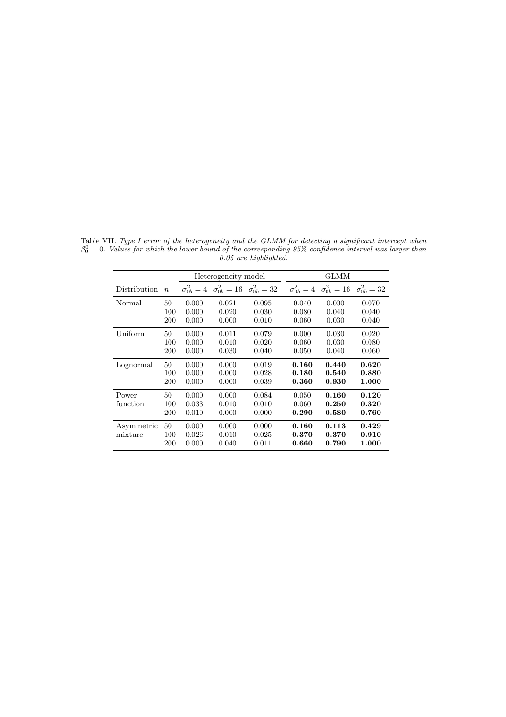|                       |                  |                         | Heterogeneity model                                                   |                         |                         | GLMM                                                                  |                         |
|-----------------------|------------------|-------------------------|-----------------------------------------------------------------------|-------------------------|-------------------------|-----------------------------------------------------------------------|-------------------------|
| <b>Distribution</b>   | $\overline{n}$   |                         | $\sigma_{0b}^2 = 4 \quad \sigma_{0b}^2 = 16 \quad \sigma_{0b}^2 = 32$ |                         |                         | $\sigma_{0b}^2 = 4 \quad \sigma_{0b}^2 = 16 \quad \sigma_{0b}^2 = 32$ |                         |
| Normal                | 50<br>100<br>200 | 0.000<br>0.000<br>0.000 | 0.021<br>0.020<br>0.000                                               | 0.095<br>0.030<br>0.010 | 0.040<br>0.080<br>0.060 | 0.000<br>0.040<br>0.030                                               | 0.070<br>0.040<br>0.040 |
| Uniform               | 50<br>100<br>200 | 0.000<br>0.000<br>0.000 | 0.011<br>0.010<br>0.030                                               | 0.079<br>0.020<br>0.040 | 0.000<br>0.060<br>0.050 | 0.030<br>0.030<br>0.040                                               | 0.020<br>0.080<br>0.060 |
| Lognormal             | 50<br>100<br>200 | 0.000<br>0.000<br>0.000 | 0.000<br>0.000<br>0.000                                               | 0.019<br>0.028<br>0.039 | 0.160<br>0.180<br>0.360 | 0.440<br>0.540<br>0.930                                               | 0.620<br>0.880<br>1.000 |
| Power<br>function     | 50<br>100<br>200 | 0.000<br>0.033<br>0.010 | 0.000<br>0.010<br>0.000                                               | 0.084<br>0.010<br>0.000 | 0.050<br>0.060<br>0.290 | 0.160<br>0.250<br>0.580                                               | 0.120<br>0.320<br>0.760 |
| Asymmetric<br>mixture | 50<br>100<br>200 | 0.000<br>0.026<br>0.000 | 0.000<br>0.010<br>0.040                                               | 0.000<br>0.025<br>0.011 | 0.160<br>0.370<br>0.660 | 0.113<br>0.370<br>0.790                                               | 0.429<br>0.910<br>1.000 |

Table VII. Type I error of the heterogeneity and the GLMM for detecting a significant intercept when  $\beta_0^0 = 0$ . Values for which the lower bound of the corresponding 95% confidence interval was larger than 0.05 are highlighted.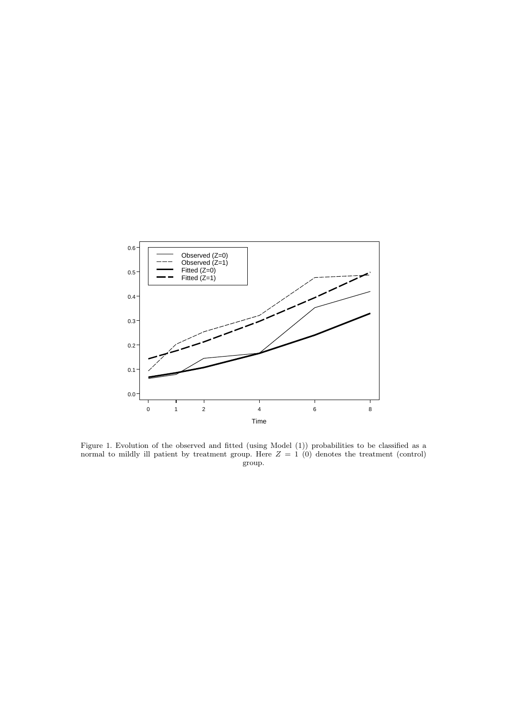

Figure 1. Evolution of the observed and fitted (using Model (1)) probabilities to be classified as a normal to mildly ill patient by treatment group. Here  $Z = 1$  (0) denotes the treatment (control) group.